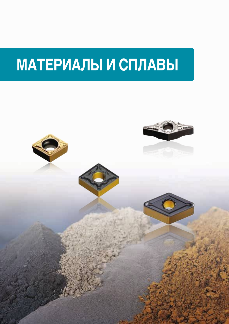# **МАТЕРИАЛЫ И СПЛАВЫ**

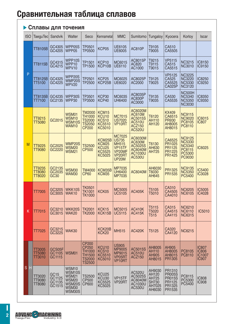#### **Сплавы для точения**

| <b>ISO</b> | TaeguTec                          | Sandvik                                        | Walter                                                                              | Seco                                                                             | lKennametal                                                         | MMC                                                                                               | Sumitomo                                                                   | Tungaloy                                                     | Kyocera                                                                | Korlov                                                                        | <b>Iscar</b>                                    |
|------------|-----------------------------------|------------------------------------------------|-------------------------------------------------------------------------------------|----------------------------------------------------------------------------------|---------------------------------------------------------------------|---------------------------------------------------------------------------------------------------|----------------------------------------------------------------------------|--------------------------------------------------------------|------------------------------------------------------------------------|-------------------------------------------------------------------------------|-------------------------------------------------|
|            | TT8105B                           | GC4305<br>GC4205                               | WPP05S<br>WPP05                                                                     | <b>TP0501</b><br><b>TP0500</b>                                                   | KCP05                                                               | UE6105<br><b>UE6005</b>                                                                           | <b>AC810P</b>                                                              | T9105<br>T9005                                               | CA510<br>CA5505                                                        |                                                                               |                                                 |
|            | TT8115B                           | GC4315<br>GC4215                               | WPP10S<br>WPP10<br>WPV10                                                            | TP1501<br>TP1500                                                                 | KCP10<br>KCP10B                                                     | MC6015<br><b>UE6110</b>                                                                           | AC8015P<br>AC820<br>AC1000                                                 | T9215<br>T9115<br>T9015                                      | <b>VP5115</b><br>CA515<br>CA5515                                       | <b>NC3215</b><br><b>NC3010</b>                                                | IC8150<br>IC9150                                |
| P          | TT8125B<br>TT5100                 | GC4325<br>GC4225                               | WPP20S<br><b>WMP20S</b><br><b>WPV20</b>                                             | TP2501<br>TP2500                                                                 | KCP25<br>KCP25B                                                     | MC6025<br>UE6020                                                                                  | AC8025P<br>AC2000                                                          | T9125<br>T9025                                               | <b>VP5125</b><br>CA525<br>CA5525<br><b>CA025P</b>                      | <b>NC3225</b><br><b>NC3220</b><br><b>NC5330</b><br><b>NC3120</b>              | IC8250<br>IC9250                                |
|            | TT8135B<br>TT7100                 | GC4235<br>GC2135                               | WPP30S<br>WPP30                                                                     | TP3501<br>TP3500                                                                 | KCP30<br>KCP40                                                      | MC6035<br><b>UH6400</b>                                                                           | AC8035P<br>AC830P<br>AC3000                                                | T9135<br>T9035                                               | CA530<br>CA5535                                                        | NC500H<br><b>NC5340</b><br><b>NC5350</b><br><b>NC3030</b>                     | <b>IC8350</b><br>IC9350                         |
|            | TT9215<br><b>TT5080</b>           | GC2015                                         | WSM01<br><b>WSM10</b><br>WSM10S<br><b>WAM10</b>                                     | <b>TM2000</b><br><b>TH1000</b><br><b>TS2000</b><br><b>TS2050</b><br><b>CP200</b> | KCM15<br>KCU <sub>10</sub><br>KCS <sub>10</sub><br>KC5510<br>KC5010 | MC7015<br>US7020<br>VP <sub>10RT</sub>                                                            | AC6020M<br>AC610M<br>AC5015S<br>AC510U<br>ACZ150<br><b>AC520U</b>          | T6120<br><b>AH110</b><br>AH120                               | <b>KX409</b><br>CA6515<br><b>PR930</b><br>AH8005<br>AH8015             | <b>NC9115</b><br>NC9020<br>PC8105<br>PC8110                                   | IC6015<br><b>IC807</b>                          |
| M          | <b>TT9225</b><br>TT9080           | GC2025<br>GC2220                               | WMP20S<br><b>WSM20</b><br><b>WSM21</b>                                              | <b>TS2500</b><br><b>CP500</b>                                                    | KCM25B<br>KCM25<br>KCU25<br>KC5525<br>KC5025                        | MC7025<br><b>US735</b><br><b>MH515</b><br>VP <sub>15</sub> TF<br>VP20MF<br>VP20RT<br><b>UP20M</b> | AC6030M<br><b>AC630M</b><br>AC5025S<br>AC6040M<br>AC1030U<br><b>AC530U</b> | T6130<br>AH630<br><b>AH725</b>                               | CA6525<br>PR1025<br><b>PR1125</b><br>PR1225<br><b>PR1425</b>           | <b>NC9125</b><br><b>NC5330</b><br><b>NC5340</b><br>PC8115<br>PC5300<br>PC9030 | IC6025                                          |
|            | TT9235<br><b>TT8080</b><br>TT8020 | GC2135<br>GC2035<br>GC <sub>30</sub>           | <b>WSM30</b><br><b>WAM30</b>                                                        | TM4000<br><b>CP60</b>                                                            | KCM35B<br>KCM35                                                     | <b>MP7035</b><br><b>UH6400</b><br><b>MP7035</b>                                                   | AC6040M                                                                    | AH6030<br>T6030<br>AH645                                     | PR1325<br>PR1535                                                       | <b>NC9135</b><br><b>NC5350</b><br>PC5400                                      | <b>IC5400</b><br>IC3028                         |
|            | TT7005                            | GC3205<br>GC3005                               | WKK10S<br>WAK10                                                                     | TK0501<br><b>TK1001</b><br><b>TK1000</b>                                         | KCK05                                                               | MC5005<br><b>UC5105</b>                                                                           | <b>AC405K</b>                                                              | T5105<br>T5010                                               | CA310<br>CA4505<br>CA4010                                              | <b>NC6205</b><br><b>NC6105</b>                                                | <b>IC5005</b><br>IC4028                         |
| Κ          | TT7015                            | GC3210<br>GC3015                               | WKK20S<br><b>WAK20</b>                                                              | TK2001<br><b>TK2000</b>                                                          | KCK15<br>KCK15B                                                     | MC5015<br><b>UC5115</b>                                                                           | <b>AC410K</b><br><b>AC415K</b>                                             | T5115<br>T5020<br>T515                                       | CA315<br>CA4515<br>CA4115                                              | <b>NC6210</b><br><b>NC6110</b><br><b>NC6315</b>                               | IC5010                                          |
|            | TT7025                            | GC3215<br>GC3225                               | <b>WAK30</b>                                                                        |                                                                                  | KCK20B<br>KCK20                                                     | MH515                                                                                             | <b>AC420K</b>                                                              | T5125                                                        | CA320<br>CA4120                                                        | <b>NC6215</b>                                                                 |                                                 |
|            | TT3005<br>TT5080<br>TT3010        | GCS05F<br>GC1105<br>GC1115                     | WSM01                                                                               | CP200<br><b>CP250</b><br>TH1000<br>TH1500<br><b>TS2000</b><br><b>TS2500</b>      | KCU10<br>KCS10<br>KC5510<br>KC5010                                  | <b>US905</b><br><b>MP9005</b><br>MP9015<br>VP05RT<br>VP <sub>10RT</sub>                           | AC5015S<br><b>AC510U</b><br>ACZ150                                         | AH8005<br><b>AH110</b><br>AH905<br>AH8015                    | AH905<br>AH8005<br>AH8015<br><b>PR1305</b>                             | PC8105<br>PC8110                                                              | IC807<br><b>IC806</b><br>IC1007<br><b>IC907</b> |
| Н<br>S     | TT3020<br>TT9080<br>TT8080        | GC <sub>15</sub><br>GC1125<br>GC1135<br>GC1515 | WSM10<br>WSM10S<br><b>WSM21</b><br>WSM20<br><b>WSM20S</b><br><b>WSM30</b><br>WSM30S | TS2500<br>CP500<br>CP600                                                         | KCU25<br>KCU30<br>KC5525<br>KC5025                                  | VP15TF<br>VP20RT                                                                                  | AC520U<br>AC5025S<br>AC6040M<br>AC1030U<br><b>AC530U</b>                   | AH9030<br>AH120<br>AH725<br><b>SH730</b><br>AH7025<br>AH6030 | PR1310<br><b>PR005S</b><br><b>PR015S</b><br>PR1125<br>PR1325<br>PR1535 | PC8115<br>PC5300<br>PC5400                                                    | <b>IC808</b><br><b>IC908</b>                    |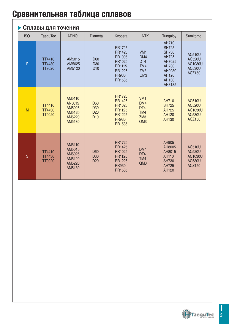#### **Сплавы для точения**

| <b>ISO</b> | <b>TaeguTec</b>                          | <b>ARNO</b>                                              | <b>Diametal</b>                                              | Kyocera                                                                                | <b>NTK</b>                                                     | Tungaloy                                                                                                | Sumitomo                                                                    |
|------------|------------------------------------------|----------------------------------------------------------|--------------------------------------------------------------|----------------------------------------------------------------------------------------|----------------------------------------------------------------|---------------------------------------------------------------------------------------------------------|-----------------------------------------------------------------------------|
| P          | TT4410<br>TT4430<br>TT9020               | AM5015<br>AM5025<br>AM5120                               | D60<br>D <sub>30</sub><br>D <sub>10</sub>                    | PR1725<br>PR1425<br>PR1005<br>PR1025<br>PR1115<br>PR1225<br>PR930<br>PR1535            | VM <sub>1</sub><br>DM4<br>DT4<br>TM4<br>ZM3<br>QM <sub>3</sub> | AH710<br><b>SH725</b><br><b>SH730</b><br>AH725<br>AH7025<br>AH730<br>AH9030<br>AH120<br>AH130<br>AH3135 | <b>AC510U</b><br><b>AC520U</b><br>AC1030U<br><b>AC530U</b><br>ACZ150        |
| M          | TT4410<br><b>TT4430</b><br><b>TT9020</b> | AM5110<br>AN5015<br>AM5025<br>AM5120<br>AM5220<br>AM5130 | D60<br>D <sub>30</sub><br>D <sub>20</sub><br>D <sub>10</sub> | PR1725<br>PR1425<br>PR1025<br>PR1125<br>PR1225<br><b>PR930</b><br>PR1535               | VM <sub>1</sub><br>DM4<br>DT4<br>TM4<br>ZM3<br>QM3             | AH710<br><b>SH725</b><br>AH725<br>AH120<br>AH130                                                        | <b>AC510U</b><br><b>AC520U</b><br>AC1030U<br><b>AC530U</b><br><b>ACZ150</b> |
| S          | TT4410<br><b>TT4430</b><br>TT9020        | AM5110<br>AM5015<br>AM5025<br>AM5120<br>AM5220<br>AM5130 | D60<br>D <sub>30</sub><br>D <sub>20</sub>                    | <b>PR1725</b><br>PR1425<br>PR1025<br><b>PR1125</b><br>PR1225<br><b>PR930</b><br>PR1535 | DM4<br>DT4<br>TM4<br>QM <sub>3</sub>                           | AH905<br>AH8005<br>AH8015<br>AH110<br><b>SH730</b><br>AH725<br>AH120                                    | <b>AC510U</b><br><b>AC520U</b><br>AC1030U<br><b>AC530U</b><br>ACZ150        |

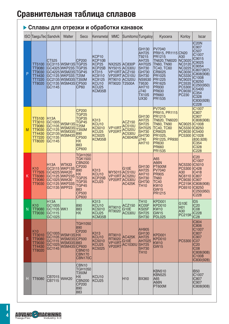#### **Сплавы для отрезки и обработки канавок**

| <b>ISO</b> | TaeguTec Sandvik                                                                        |                                                                  | Walter                                                                                                                          | Seco                                                                                                                                             | Kennametal                                                                                                          | <b>MMC</b>                                       | Sumitomo Tungaloy                                                               |                                                                                                                                                                      | Kyocera                                                                                                                                                                                      | Korloy                                                                                                        | <b>Iscar</b>                                                                                                                                                                                 |
|------------|-----------------------------------------------------------------------------------------|------------------------------------------------------------------|---------------------------------------------------------------------------------------------------------------------------------|--------------------------------------------------------------------------------------------------------------------------------------------------|---------------------------------------------------------------------------------------------------------------------|--------------------------------------------------|---------------------------------------------------------------------------------|----------------------------------------------------------------------------------------------------------------------------------------------------------------------|----------------------------------------------------------------------------------------------------------------------------------------------------------------------------------------------|---------------------------------------------------------------------------------------------------------------|----------------------------------------------------------------------------------------------------------------------------------------------------------------------------------------------|
| P          | TT5100<br><b>TT9080</b><br>TT9030<br>TT4430<br><b>TT7220</b><br><b>TT8020</b>           | CT525<br>GC1145                                                  | GC3115 WSM13S TGP25<br>GC4325 WKP23S<br>GC4225 WSM23S TGP45<br>GC1125 WKP33S T25M<br>GC2135 WSM33S T350M<br>GC1135 WSM43S CP500 | CP200<br>TGP35<br><b>CP60</b>                                                                                                                    | KCP10<br>KCP10B<br>KCP25<br>KCP25B<br>KT315<br>KC9110<br>KC9125<br>KCU <sub>10</sub><br>KCU <sub>25</sub><br>KCM35B | NX2525 AC830P<br>VP10RT ACZ150<br>RT9020 T2500A  | NY5015 AC530U<br>VP20RT AC510U<br>RT9010 AC520U                                 | GH130<br>AH725<br>T9215<br><b>AH725</b><br>AH7025<br><b>SH730</b><br>GH730<br><b>SH730</b><br><b>NS9530</b><br>T9530<br>AH710<br>J740<br><b>TX10S</b><br><b>UX30</b> | <b>PV7040</b><br>PR915, PR1115 CN20<br>PR1215<br>TN620, TN6020<br>TN60, TN90<br>TC40, TC60<br>CR9025<br>PR1025<br>PR1225<br>PR1625<br><b>PR930</b><br><b>PR630</b><br><b>PR660</b><br>PR1535 | A30<br><b>NC3020</b><br>NC3120<br>NC3225<br>NC3030<br>NC5330<br>NC9025<br>PC3535<br>PC5300<br>PC9030<br>PC230 | IC <sub>20</sub> N<br>IC907<br>IC507<br>IC1007<br>IC9015<br>IC9025<br>IC9054<br>IC807(907<br>IC808(908)<br>IC1008<br>IC8250<br>IC250(950)<br>IC5400<br>IC354<br>IC328<br>IC830(928)<br>IC228 |
| M          | TT5100<br>TT3010<br><b>TT9080</b><br>TT9030<br>TT4430<br><b>TT7220</b><br><b>TT8020</b> | H13A<br>GC1005<br>GC1105<br>GC1125<br>GC2135<br>GC1135<br>GC1145 | <b>WSM13S</b><br><b>WSM23S</b><br><b>WSM33S</b><br>WSM43S                                                                       | <b>CP200</b><br><b>TGP25</b><br>TGP35<br>TGP45<br>T25M<br><b>T350M</b><br>890<br><b>CP500</b><br><b>HX</b><br>883<br><b>CP600</b>                | K313<br>KCU <sub>10</sub><br>KC5010<br>KCU <sub>25</sub><br>KC5025<br>KCM35B                                        | VP <sub>10RT</sub><br>VP <sub>20RT</sub>         | ACZ150<br><b>AC510U</b><br>AC520U<br><b>AC530U</b><br><b>AC6040M</b>            | GH130<br>AH725<br>SH725<br><b>SH7025</b><br><b>SH730</b><br>GH730<br>J740<br><b>AH710</b>                                                                            | <b>PV7040</b><br>PR915, PR1115<br><b>PR1215</b><br><b>TN620, TN6020</b><br><b>TN60, TN90</b><br><b>TC40, TC60</b><br>CR9025<br>PR1025,<br>PR1225, PR930<br><b>PR630</b><br>PR660<br>PR1535   | <b>NC9025</b><br><b>NC5330</b><br>PC9030<br>PC5300                                                            | IC1007<br><b>IC807</b><br><b>IC907</b><br>IC808(908)<br><b>IC1008</b><br><b>IC8250</b><br>IC5400<br>IC1028<br>(830, 928)<br>IC354<br>IC328<br><b>IC228</b>                                   |
| Κ          | K <sub>10</sub><br>TT7505<br><b>TT6080</b><br>TT9080<br>TT9030                          | <b>H13A</b><br>GC4225 WAK20<br>GC1025 WAK30<br>GC1135 WPP23      | <b>WTA33</b><br>GC3115 WKP13S<br>GC1125 WKP23S<br>GC1125 WKP33S                                                                 | <b>TGH1050</b><br><b>TGK1500</b><br><b>CBN200</b><br><b>CP200</b><br>890<br><b>HX</b><br>TGP25<br>TGP35<br>TGP45<br>883<br><b>CP500</b><br>CP600 | K313<br>KCU <sub>10</sub><br>KCP25B<br>KCU <sub>25</sub>                                                            |                                                  | G10E<br>MY5015 AC510U<br><b>VP10RT AC520U</b><br>VP20RT AC530U<br><b>AC425K</b> | GH130<br>AH725<br><b>AH710</b><br><b>SH730</b><br><b>GH730</b><br><b>TH10</b>                                                                                        | A65<br><b>A66N</b><br><b>PT600M</b><br><b>PV7040</b><br><b>PR905</b><br><b>TN60</b><br><b>TC40</b><br><b>KW10</b><br><b>GW15</b><br>PR1215                                                   | <b>NC5330</b><br>PC5300<br>A30<br><b>NC6110</b><br>PC9030<br>PC6510                                           | <b>IC20</b><br>IC1007<br>IC5010<br><b>IC428</b><br>IC418<br><b>IC807</b><br><b>IC907</b><br>PC215K C808(908)<br>IC8250<br>IC250(950)<br><b>IC228</b>                                         |
| N          | K <sub>10</sub><br><b>TT9080</b><br>TT9030                                              | <b>H13A</b><br>GC1005<br>GC1105 WK1<br>GC1115<br>GC1025          |                                                                                                                                 | 890<br>883<br><b>HX</b>                                                                                                                          | K313<br>KCU <sub>10</sub><br>KC5010<br>KCU25<br>KCM35B                                                              | RT9010<br>RT9020                                 | ACZ150<br>G10E<br><b>AC530U</b>                                                 | TH <sub>10</sub><br>KC05F<br>KS05F<br><b>SH725</b><br><b>SH730</b>                                                                                                   | KPD001<br>KPD010<br><b>KW10</b><br><b>GW15</b><br><b>PDL025</b>                                                                                                                              | G10E<br>H <sub>0</sub> 1<br>A30<br><b>PC215K</b>                                                              | ID <sub>5</sub><br>IC <sub>20</sub><br>IC <sub>08</sub><br>IC228<br>IC <sub>28</sub>                                                                                                         |
| S          | K <sub>10</sub><br>TT3010<br>TT9080<br>TT9030<br>TT4430<br><b>TT8020</b>                | GC1005<br>GC1105<br>GC1115<br>GC1025<br>GC1145                   | WSM13SHX<br><b>WSM23S CP500</b><br>WSM33S 883<br><b>WSM43S CP600</b>                                                            | <b>TGH1050</b><br>890<br><b>CP200</b><br><b>CBN010</b><br><b>CBN170</b><br>CBN170C                                                               | K313<br>KCU <sub>10</sub><br>KC5010<br>KCU <sub>25</sub><br>KC5025                                                  | RT9010<br>RT9020<br>VP <sub>10RT</sub><br>VP20RT | <b>AC425K</b><br><b>G10E</b><br>AC1030U                                         | AH905<br>GH130<br>AH725<br>AH7025<br>SH725<br>SH730<br><b>TH10</b>                                                                                                   | KPD001<br><b>KPD010</b><br><b>KW10</b><br><b>GW15</b>                                                                                                                                        | PC5300                                                                                                        | <b>IC804</b><br><b>IC806</b><br>IC1007<br><b>IC807</b><br>IC907<br>IC <sub>07</sub><br><b>IC20</b><br>IC <sub>08</sub><br>IC808(908)<br>IC1008<br>IC830(928)                                 |
| Н          | <b>TT6080</b>                                                                           | CB7015<br>CB7115                                                 | <b>WAK20</b>                                                                                                                    | CBN10<br><b>TGH1050</b><br><b>T350M</b><br><b>HX</b><br><b>CBN200</b><br>CP200<br>890<br>883                                                     | KCU10<br>KCU <sub>25</sub>                                                                                          |                                                  | H <sub>10</sub>                                                                 | <b>BX360</b>                                                                                                                                                         | <b>KBN510</b><br><b>KBN525</b><br>A65<br><b>A66N</b><br><b>PT600M</b>                                                                                                                        |                                                                                                               | <b>IB50</b><br>IC1007<br>IC807<br>IC907<br>IC808(908)                                                                                                                                        |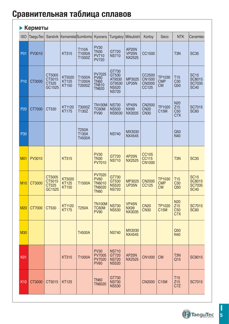### **• Керметы**

| <b>ISO</b>      | TaeguTec |                                     | Sandvik Kennametal Sumitomol           |                                  | Kyocera                                                                       | Tungaloy                                                           | Mitsubishi                                   | Korloy                                            | Seco                              | <b>NTK</b>                                  | Ceramtec                                                     |
|-----------------|----------|-------------------------------------|----------------------------------------|----------------------------------|-------------------------------------------------------------------------------|--------------------------------------------------------------------|----------------------------------------------|---------------------------------------------------|-----------------------------------|---------------------------------------------|--------------------------------------------------------------|
| <b>P01</b>      | PV3010   |                                     | <b>KT315</b>                           | <b>T110A</b><br>T1000A<br>T1500Z | PV30<br>TN30<br><b>PV710</b><br><b>PV720</b>                                  | GT720<br><b>NS710</b>                                              | AP25N<br><b>VP25N</b><br><b>NX2525</b>       | CC1500                                            |                                   | T <sub>3</sub> N                            | <b>SC35</b>                                                  |
| P <sub>10</sub> | CT3000   | CT5005<br>CT5015<br>CT525<br>GC1525 | KT5020<br><b>KT125</b><br><b>KT150</b> | T1500A<br>T1200A<br>T2000Z       | PV7025<br>PV60<br>TN60<br>TN610<br><b>TN620</b>                               | GT730<br>GT530<br>AT9530<br>GT9530<br><b>NS520</b><br><b>NS720</b> | MP3025<br><b>UP35N</b>                       | CC2500<br><b>CN1500</b><br><b>CN2000</b><br>CC125 | TP1030<br><b>CMP</b><br><b>CM</b> | T <sub>15</sub><br>C <sub>30</sub><br>Q50   | <b>SC15</b><br>SC8015<br><b>SC7035</b><br><b>SC40</b>        |
| P <sub>20</sub> | CT7000   | CT530                               | KT1120<br><b>KT175</b>                 | T3000Z<br>T130Z                  | TN100M<br><b>TC60M</b><br><b>PV90</b>                                         | <b>NS730</b><br><b>NS530</b><br><b>NS9530</b>                      | <b>VP45N</b><br><b>NX99</b><br>NX3035        | <b>CN2500</b><br><b>CN20</b><br><b>CN30</b>       | TP1020<br>C15M                    | N20<br>Z15<br>C <sub>50</sub><br>C7X        | SC7015<br><b>SC60</b>                                        |
| P30             |          |                                     |                                        | <b>T250A</b><br>T130A<br>T4500A  |                                                                               | <b>NS740</b>                                                       | MX3030<br>NX4545                             |                                                   |                                   | Q50<br>N40                                  |                                                              |
| <b>M01</b>      | PV3010   |                                     | <b>KT315</b>                           |                                  | <b>PV30</b><br><b>TN30</b><br><b>PV7010</b>                                   | GT720<br><b>NS710</b>                                              | <b>AP25N</b><br><b>NX2525</b>                | CC105<br><b>CC115</b><br><b>CN1000</b>            |                                   | T <sub>3</sub> N                            | <b>SC35</b>                                                  |
| <b>M10</b>      | CT3000   | CT5005<br>CT5015<br>CT525<br>GC1525 | KT5020<br><b>KT125</b><br><b>KT150</b> | T1500A                           | <b>PV7020</b><br><b>PV60</b><br><b>TN6010</b><br><b>TN6020</b><br><b>TN60</b> | GT730<br>GT530<br><b>NS520</b><br><b>NS720</b>                     | MP3025<br><b>UP35N</b>                       | <b>CN2000</b><br>CC125                            | TP1030<br><b>CMP</b><br><b>CM</b> | T <sub>15</sub><br>C <sub>30</sub><br>Q50   | <b>SC15</b><br><b>SC8015</b><br><b>SC7035</b><br><b>SC40</b> |
| <b>M20</b>      | CT7000   | CT530                               | KT1120<br><b>KT175</b>                 | <b>T250A</b>                     | <b>TN100M</b><br><b>TC60M</b><br><b>PV90</b>                                  | <b>NS730</b><br><b>NS530</b>                                       | <b>VP45N</b><br><b>NX99</b><br><b>NX3035</b> | <b>CN20</b><br><b>CN30</b>                        | TP1020<br><b>C15M</b>             | <b>N20</b><br>Z15<br>C <sub>50</sub><br>C7X | SC7015<br><b>SC60</b>                                        |
| <b>M30</b>      |          |                                     |                                        | T4500A                           |                                                                               | <b>NS740</b>                                                       | MX3030<br><b>NX4545</b>                      |                                                   |                                   | Q50<br>N40                                  |                                                              |
| <b>K01</b>      |          |                                     | <b>KT315</b>                           | T1000A                           | <b>PV30</b><br><b>PV7005</b><br><b>PV7020</b><br><b>PV60</b>                  | <b>NS710</b><br>GT720<br><b>NS720</b><br><b>NS520</b>              | AP25N<br><b>NX2525</b>                       | <b>CN1000</b>                                     | <b>CM</b>                         | T <sub>3</sub> N<br>Q15                     | SC8015                                                       |
| K <sub>10</sub> | CT3000   | CT5015                              | <b>KT125</b>                           |                                  | <b>TN60</b><br><b>TN6020</b>                                                  | GT730<br><b>NS730</b><br><b>NS530</b>                              |                                              | <b>CN2000</b>                                     | C15M                              | T <sub>15</sub><br>Z15<br>C7Z               | SC7015                                                       |

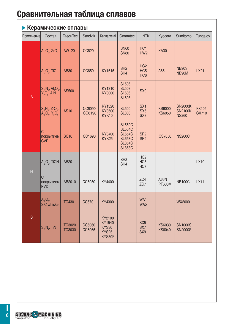| Керамические сплавы |                                                                                                 |                                |                  |                                                            |                                                                                                    |                                                       |                                |                                                  |                              |  |  |
|---------------------|-------------------------------------------------------------------------------------------------|--------------------------------|------------------|------------------------------------------------------------|----------------------------------------------------------------------------------------------------|-------------------------------------------------------|--------------------------------|--------------------------------------------------|------------------------------|--|--|
| Применение          | Состав                                                                                          | <b>TaeguTec</b>                | Sandvik          | Kennametal                                                 | Ceramtec                                                                                           | <b>NTK</b>                                            | Kyocera                        | Sumitomo                                         | Tungaloy                     |  |  |
|                     | $AI2O3$ , ZrO <sub>2</sub>                                                                      | <b>AW120</b>                   | CC620            |                                                            | <b>SN60</b><br><b>SN80</b>                                                                         | HC <sub>1</sub><br>HW <sub>2</sub>                    | <b>KA30</b>                    |                                                  |                              |  |  |
|                     | $AI2O3$ , TiC                                                                                   | <b>AB30</b>                    | <b>CC650</b>     | KY1615                                                     | SH <sub>2</sub><br>SH4                                                                             | HC <sub>2</sub><br>HC <sub>5</sub><br>HC <sub>6</sub> | A65                            | <b>NB90S</b><br>NB90M                            | LX21                         |  |  |
| K                   | $S_{1}^{1}N_{4}^{1}$ , Al <sub>2</sub> O <sub>3</sub> , Y <sub>2</sub> O <sub>3</sub> , AlN     | <b>AS500</b>                   |                  | KY1310<br>KY3000                                           | <b>SL506</b><br><b>SL508</b><br><b>SL606</b><br><b>SL608</b>                                       | SX9                                                   |                                |                                                  |                              |  |  |
|                     | $S_aN_4$ , ZrO <sub>2</sub> ,<br>Al <sub>2</sub> O <sub>3</sub> , Y <sub>2</sub> O <sub>3</sub> | <b>AS10</b>                    | CC6090<br>CC6190 | KY1320<br>KY3500<br>KYK10                                  | <b>SL500</b><br><b>SL808</b>                                                                       | SX <sub>1</sub><br>SX <sub>6</sub><br>SX <sub>8</sub> | <b>KS6000</b><br><b>KS6050</b> | <b>SN2000K</b><br><b>SN2100K</b><br><b>NS260</b> | <b>FX105</b><br><b>CX710</b> |  |  |
|                     | $\mathsf{C}$<br>покрытием<br><b>CVD</b>                                                         | <b>SC10</b>                    | CC1690           | KY3400<br>KYK25                                            | <b>SL550C</b><br><b>SL554C</b><br><b>SL654C</b><br><b>SL658C</b><br><b>SL854C</b><br><b>SL858C</b> | SP <sub>2</sub><br>SP <sub>9</sub>                    | <b>CS7050</b>                  | <b>NS260C</b>                                    |                              |  |  |
| $\mathsf{H}$        | $AI2O3$ , TiCN                                                                                  | <b>AB20</b>                    |                  |                                                            | SH <sub>2</sub><br>SH4                                                                             | HC <sub>2</sub><br>HC <sub>5</sub><br>HC7             |                                |                                                  | <b>LX10</b>                  |  |  |
|                     | С<br>покрытием<br><b>PVD</b>                                                                    | AB2010                         | CC6050           | KY4400                                                     |                                                                                                    | ZC4<br>ZC7                                            | A66N<br>PT600M                 | <b>NB100C</b>                                    | <b>LX11</b>                  |  |  |
| S                   | $AI2O3$ ,<br>SiC whisker                                                                        | <b>TC430</b>                   | CC670            | KY4300                                                     |                                                                                                    | WA1<br>WA5                                            |                                | <b>WX2000</b>                                    |                              |  |  |
|                     | $Si3N4$ , TiN                                                                                   | <b>TC3020</b><br><b>TC3030</b> | CC6060<br>CC6065 | KY2100<br>KY1540<br><b>KYS30</b><br><b>KYS25</b><br>KYS30P |                                                                                                    | SX <sub>5</sub><br>SX7<br>SX9                         | <b>KS6030</b><br>KS6040        | <b>SN1000S</b><br><b>SN2000S</b>                 |                              |  |  |

**ADVANC - MACHINING** 

TaeguTec Industry 4.0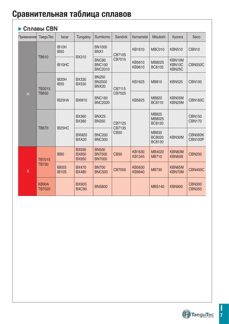#### **Сплавы CBN**

| Применение | <b>TaeguTec</b>               | <b>Iscar</b>                      | Tungaloy                                     | Sumitomo                                        | Sandvik                      | Kennametal              | Mitsubishi                                     | Kyocera                          | Seco                           |                                |
|------------|-------------------------------|-----------------------------------|----------------------------------------------|-------------------------------------------------|------------------------------|-------------------------|------------------------------------------------|----------------------------------|--------------------------------|--------------------------------|
|            |                               | IB <sub>10</sub> H<br><b>IB50</b> | <b>BX310</b>                                 | <b>BN1000</b><br>BNX1                           | CB7105                       | KB1610                  | MBC010                                         | <b>KBN510</b>                    | CBN <sub>10</sub>              |                                |
|            | <b>TB610</b>                  | IB10HC                            |                                              | <b>BNC80</b><br><b>BNC100</b><br><b>BNC2010</b> | CB7015                       | KB5610<br>KB9610        | MB8025<br><b>BC8105</b>                        | KBN10M<br>KBN10C<br>KBN25C       | CBN050C                        |                                |
|            | <b>TB2015</b>                 | IB <sub>20</sub> H<br><b>IB55</b> |                                              | <b>BN250</b><br><b>BN2000</b><br><b>BNX20</b>   | CB7115                       | KB1625                  | <b>MB810</b>                                   | <b>KBN525</b>                    | <b>CBN100</b>                  |                                |
| Н          | <b>TB650</b>                  | IB <sub>25</sub> HA               | BXM10                                        | <b>BNC160</b><br><b>BNC2020</b>                 | CB7025                       | KB5625                  | <b>MB820</b><br><b>BC8110</b>                  | KBN05M<br>KBN25M                 | <b>CBN160C</b>                 |                                |
|            | <b>TB670</b>                  |                                   | IB25HC                                       | <b>BX360</b><br><b>BX380</b>                    | <b>BNX25</b><br><b>BN350</b> | CB7125<br>CB7135        |                                                | <b>MB825</b><br>MB8025<br>BC8120 |                                | <b>CBN150</b><br><b>CBN170</b> |
|            |                               |                                   | <b>BXM20</b><br><b>BXA20</b>                 | <b>BNC200</b><br><b>BNC300</b>                  | <b>CB50</b>                  |                         | <b>MB835</b><br><b>BC8020</b><br><b>BC8130</b> | KBN30M                           | CBN060K<br>CBN100P             |                                |
|            | <b>TB7015</b>                 | <b>IB90</b>                       | <b>BX930</b><br><b>BX850</b><br><b>BX950</b> | <b>BN500</b><br><b>BN7500</b><br><b>BN7000</b>  | <b>CB50</b>                  | KB1630<br><b>KB1345</b> | MB4020<br><b>MB710</b>                         | KBN60M<br>KBN65B                 | <b>CBN200</b>                  |                                |
| K          | <b>TB730</b>                  | <b>IB05S</b><br><b>IB10S</b>      | <b>BX470</b><br><b>BX480</b>                 | <b>BN700</b><br><b>BNC500</b>                   | CB7050                       | KB5630<br>KB9640        | <b>MB730</b>                                   | KBN65M<br>KBN70M                 | CBN400C                        |                                |
|            | <b>KB90A</b><br><b>TB7020</b> |                                   | <b>BX90S</b><br><b>BXC90</b>                 | <b>BNS800</b>                                   |                              |                         | <b>MBS140</b>                                  | <b>KBN900</b>                    | <b>CBN300</b><br><b>CBN350</b> |                                |

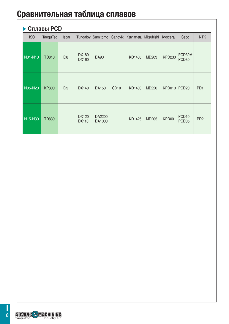#### **Cплавы PCD**

| <b>ISO</b> | TaeguTec     | <b>Iscar</b>    | Tungaloy                     | Sumitomo         | Sandvik     | Kennametal Mitsubishi |              | Kyocera       | Seco                                   | <b>NTK</b>      |
|------------|--------------|-----------------|------------------------------|------------------|-------------|-----------------------|--------------|---------------|----------------------------------------|-----------------|
| N01-N10    | <b>TD810</b> | ID <sub>8</sub> | <b>DX180</b><br><b>DX160</b> | <b>DA90</b>      |             | KD1405                | MD203        | <b>KPD230</b> | PCD30M<br>PCD <sub>30</sub>            |                 |
| N05-N20    | <b>KP300</b> | ID <sub>5</sub> | DX140                        | DA150            | <b>CD10</b> | KD1400                | <b>MD220</b> | <b>KPD010</b> | PCD <sub>20</sub>                      | PD <sub>1</sub> |
| N15-N30    | <b>TD830</b> |                 | DX120<br><b>DX110</b>        | DA2200<br>DA1000 |             | KD1425                | <b>MD205</b> | KPD001        | PCD <sub>10</sub><br>PCD <sub>05</sub> | PD <sub>2</sub> |

TaeguTec Industry 4.0

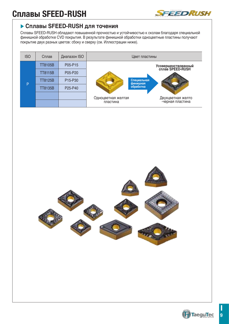# **Сплавы SFEED-RUSH**



#### **Сплавы SFEED-RUSH для точения**

Сплавы SFEED-RUSH обладают повышенной прочностью и устойчивостью к сколам благодаря специальной финишной обработке CVD покрытия. В результате финишной обработки одноцветные пластины получают покрытие двух разных цветов: сбоку и сверху (см. Иллюстрации ниже).

| <b>ISO</b> | Сплав          | Диапазон ISO | Цвет пластины           |                                         |  |  |  |  |
|------------|----------------|--------------|-------------------------|-----------------------------------------|--|--|--|--|
|            | <b>TT8105B</b> | P05-P15      |                         | Усовершенствованный<br>сплав SPEED-RUSH |  |  |  |  |
|            | <b>TT8115B</b> | P05-P20      |                         |                                         |  |  |  |  |
| P          | <b>TT8125B</b> | P15-P30      | Специальная<br>финишная |                                         |  |  |  |  |
|            | <b>TT8135B</b> | P25-P40      | обработка               |                                         |  |  |  |  |
|            |                |              | Одноцветная желтая      | Двухцветная желто                       |  |  |  |  |
|            |                |              | пластина                | -черная пластина                        |  |  |  |  |



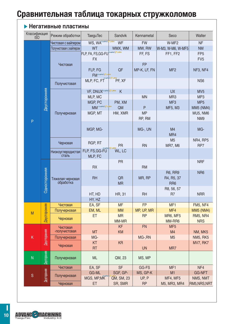# **Сравнительная таблица токарных стружколомов**

| Классификация<br><b>ISO</b> |                     | Режим обработки               | <b>TaeguTec</b>                  | Sandvik    | Kennametal   | Seco              | Walter          |
|-----------------------------|---------------------|-------------------------------|----------------------------------|------------|--------------|-------------------|-----------------|
|                             |                     | Чистовая с вайпером           | WS, WA <sup>**</sup>             | <b>WF</b>  | <b>FW</b>    | W-MF <sub>2</sub> | <b>NF</b>       |
|                             |                     | Получистовая с вайпером       | <b>WT</b>                        | WMX, WM    | MW, RW       | W-M3, W-M6, W-MF5 | <b>NM</b>       |
|                             |                     |                               | FLP, FA, FS, GG-FU               |            | FF, FS       | FF1, FF2          | FP <sub>5</sub> |
|                             |                     |                               | <b>FX</b>                        |            |              |                   | FV <sub>5</sub> |
|                             |                     | Чистовая                      |                                  |            | <b>FP</b>    |                   |                 |
|                             |                     |                               | FLP, FG                          | QF         | MP-K, LF, FN | MF <sub>2</sub>   | NF3, NF4        |
|                             |                     |                               | FM <sup>owner</sup>              |            |              |                   |                 |
|                             |                     |                               | MLP, FC, FT                      | PF, XF     |              |                   | NS <sub>6</sub> |
|                             |                     | Получистовая                  |                                  |            |              |                   |                 |
|                             | Двусторонняя        |                               | VF, DNUX <sup>Novelo</sup> Three | K          |              | <b>UX</b>         | MV <sub>5</sub> |
|                             |                     |                               | MLP, MC                          |            | <b>MN</b>    | MR <sub>3</sub>   | MP <sub>3</sub> |
|                             |                     |                               | MGP, PC                          | PM, XM     |              | MF <sub>3</sub>   | MP <sub>5</sub> |
|                             |                     |                               | MM <sup>®</sup>                  | QM         | P            | MF5, M3           | MM5 (NM4)       |
|                             |                     | Получерновая                  | MGP, MT                          | HM, XMR    | <b>MP</b>    |                   | MU5, NM6        |
|                             |                     |                               |                                  |            | RP, RM       |                   | NM <sub>9</sub> |
| P                           |                     |                               |                                  |            |              |                   |                 |
|                             |                     |                               | MGP, MG-                         |            | MG-, UN      | M4                | MG-             |
|                             |                     |                               |                                  |            |              | MR4               |                 |
|                             |                     |                               |                                  |            |              | M <sub>5</sub>    | NR4, RP5        |
|                             |                     | Черновая                      | RGP, RT                          | <b>PR</b>  | <b>RN</b>    | <b>MR7, M6</b>    | RP7             |
|                             |                     | Низкоуглеродистая             | FLP, FS, GG-FU                   | WL, LC     |              |                   |                 |
|                             |                     | сталь                         | MLP, FC                          |            |              |                   |                 |
|                             |                     |                               |                                  | <b>PR</b>  |              |                   | <b>NRF</b>      |
|                             |                     |                               | <b>RX</b>                        |            | <b>RM</b>    |                   |                 |
|                             |                     | Тяжелая черновая<br>обработка |                                  |            |              | <b>R6, RR9</b>    | N <sub>R6</sub> |
|                             |                     |                               | <b>RH</b>                        | QR         | MR, RP       | R4, R5, 37        |                 |
|                             | Односторонняя       |                               |                                  | <b>MR</b>  |              | RR <sub>6</sub>   |                 |
|                             |                     |                               |                                  |            |              | R8, 56, 57        |                 |
|                             |                     |                               | HT, HD                           | HR, 31     | <b>RH</b>    | R <sub>7</sub>    | <b>NRR</b>      |
|                             |                     |                               | HY, HZ                           |            |              |                   |                 |
|                             | <b>Двусторонняя</b> | Чистовая                      | EA, SF                           | <b>MF</b>  | <b>FP</b>    | MF <sub>1</sub>   | <b>FM5, NF4</b> |
| M                           |                     | Получерновая                  | EM, ML                           | <b>MM</b>  | MP, UP, MR   | MF4               | MM5 (NM4)       |
|                             |                     | Черновая                      | <b>ET</b>                        | <b>MR</b>  | <b>RP</b>    | <b>MR6, MF5</b>   | <b>RM5, NR4</b> |
|                             |                     |                               |                                  | MM-MR      |              | MM-RR6            | <b>NRS</b>      |
|                             |                     | Чистовая                      |                                  | <b>KF</b>  | <b>FN</b>    | MF <sub>5</sub>   |                 |
|                             | Двусторонняя        | -получистовая                 | <b>MT</b>                        | <b>KM</b>  |              | M4                | NM, MK5         |
| Κ                           |                     | Получерновая                  | MG-                              |            | MG-, RN      | M <sub>5</sub>    | NM5, RK5        |
|                             |                     | Черновая                      | KT                               | <b>KR</b>  |              |                   | <b>MV7, RK7</b> |
|                             |                     |                               | <b>RT</b>                        |            | <b>UN</b>    | MR7               |                 |
| N                           | <b>Двусторонняя</b> | Получерновая                  | <b>ML</b>                        | QM, 23     | MS, MP       |                   |                 |
|                             |                     |                               |                                  |            |              |                   |                 |
|                             |                     | Чистовая                      | EA, SF                           | <b>SF</b>  | GG-FS        | MF <sub>1</sub>   | NF4             |
|                             | Двусторонняя        |                               | GG-ML                            | SGF, GP-   | MS, GP-K     | M1                | <b>GG-NFT</b>   |
| S                           |                     | Получерновая                  | MGS, MP, MK                      | QM, SM, 23 | UP, P        | MF4, MF5          | NMS, NMT        |
|                             |                     | Черновая                      | ET                               | SR, SMR    | <b>RP</b>    | M5, MR3, MR4      | RM5, NRS, NRT   |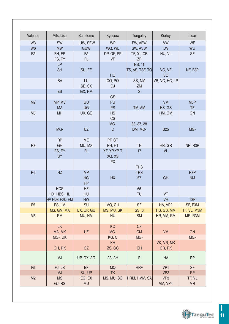| Valenite       | Mitsubishi                | Sumitomo                     | Kyocera                | Tungaloy                         | Korloy                     | <b>Iscar</b>                  |
|----------------|---------------------------|------------------------------|------------------------|----------------------------------|----------------------------|-------------------------------|
| W <sub>3</sub> | SW                        | LUW, SEW                     | <b>WP</b>              | FW, AFW                          | <b>VW</b>                  | <b>WF</b>                     |
| W <sub>6</sub> | <b>MW</b>                 | <b>GUW</b>                   | WQ, WE                 | SW, ASW                          | LW                         | WG                            |
| F <sub>2</sub> | FH, FP<br>FS, FY          | <b>FA</b><br>FL.             | DP, GP, PP<br>VF       | TF, 01, CB<br>ZF                 | HU, VL                     | <b>SF</b>                     |
|                | <b>LP</b><br><b>SH</b>    | SU, FE                       | HQ                     | <b>NS, 11</b><br>TS, AS, TSF, TQ | VG, VF<br>VQ               | NF, F3P                       |
|                | SA                        | LU<br>SE, SX                 | CQ, PQ<br>CJ           | SS, NM<br>ZM                     | VB, VC, HC, LP             |                               |
|                | <b>ES</b>                 | GX, HM                       |                        | S                                |                            |                               |
|                |                           |                              | GS                     |                                  |                            |                               |
| M <sub>2</sub> | MP, MV<br><b>MA</b>       | GU<br><b>UG</b>              | PG<br><b>PS</b>        | TM, AM                           | VM<br>HS, GS               | M3P<br><b>TF</b>              |
| M <sub>3</sub> | <b>MH</b>                 | UX, GE                       | <b>HS</b><br><b>CS</b> |                                  | HM, GM                     | <b>GN</b>                     |
|                | MG-                       | <b>UZ</b>                    | MG-<br>$\mathsf{C}$    | 33, 37, 38<br>DM, MG-            | <b>B25</b>                 | MG-                           |
| R <sub>3</sub> | <b>RP</b><br>GH           | <b>ME</b><br>MU, MX          | PT, GT<br>PH, HT       | TH                               | HR, GR                     | NR, R3P                       |
|                | FS, FY<br><b>SY</b>       | FL.                          | XF, XP, XP-T<br>XQ, XS | 17                               | <b>VL</b>                  |                               |
|                |                           |                              | <b>PX</b>              | <b>THS</b>                       |                            |                               |
| R <sub>6</sub> | HZ                        | <b>MP</b><br>HG<br><b>HP</b> | <b>HX</b>              | <b>TRS</b><br>57                 | GH                         | R <sub>3</sub> P<br><b>NM</b> |
|                | <b>HCS</b><br>HX, HBS, HL | HF<br>HU                     |                        | 65<br>TU                         | VT                         |                               |
|                | HV, HDS, HXD, HM          | <b>HW</b>                    |                        |                                  | <b>VH</b>                  | T <sub>3</sub> P              |
| F <sub>5</sub> | FS, LM                    | SU                           | MQ, GU                 | SF                               | HA, VP2                    | SF, F3M                       |
|                | MS, GM, MA                | EX, UP, GU                   | MS, MU, SK             | SS, S                            | HS, GS, MM                 | TF, VL, M3M                   |
| M <sub>5</sub> | <b>RM</b>                 | MU, HM                       | <b>HU</b>              | <b>SM</b>                        | HR, VM, RM                 | MR, R3M                       |
|                | <b>LK</b><br>MA, MK       | <b>UZ</b>                    | <b>KQ</b><br>MG-       | <b>CF</b><br><b>CM</b>           | VM                         | <b>GN</b>                     |
|                | MG-, GK                   |                              | KG, C                  | MG-                              |                            | MG-                           |
|                |                           |                              | KH                     |                                  | VK, VR, MK                 |                               |
|                | GH, RK                    | GZ                           | ZS, GC                 | <b>CH</b>                        | GR, RK                     |                               |
|                | <b>MJ</b>                 | UP, GX, AG                   | A <sub>3</sub> , AH    | P                                | HA                         | PP                            |
| F <sub>5</sub> | FJ, LS                    | EF                           | <b>MQ</b>              | <b>HRF</b>                       | VP <sub>1</sub>            | <b>SF</b>                     |
|                | <b>MJ</b>                 | SU, UP                       | <b>TK</b>              |                                  | VP <sub>2</sub>            | <b>PP</b>                     |
| M <sub>2</sub> | <b>MS</b><br>GJ, RS       | EG, EX<br><b>MU</b>          | MS, MU, SQ             | HRM, HMM, SA                     | VP <sub>3</sub><br>VM, VP4 | TF, VL<br><b>MR</b>           |

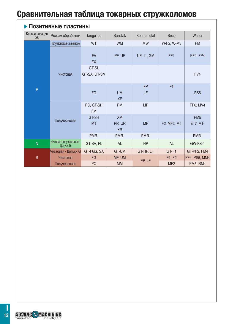# **Сравнительная таблица токарных стружколомов**

|                      | Позитивные пластины                |                        |                                  |                   |                 |                             |
|----------------------|------------------------------------|------------------------|----------------------------------|-------------------|-----------------|-----------------------------|
| Классификация<br>ISO | Режим обработки                    | <b>TaeguTec</b>        | Sandvik                          | Kennametal        | Seco            | Walter                      |
|                      | Получерновая с вайпером            | WT                     | <b>WM</b>                        | <b>MW</b>         | W-F2, W-M3      | <b>PM</b>                   |
|                      |                                    | <b>FA</b><br><b>FX</b> | PF, UF                           | <b>UF, 11, GM</b> | FF <sub>1</sub> | PF4, FP4                    |
|                      | Чистовая                           | GT-SL<br>GT-SA, GT-SM  |                                  |                   |                 | FV4                         |
| P                    |                                    | <b>FG</b>              | <b>UM</b><br><b>XF</b>           | <b>FP</b><br>LF   | F1              | PS <sub>5</sub>             |
|                      |                                    | PC, GT-SH<br><b>FM</b> | <b>PM</b>                        | <b>MP</b>         |                 | <b>FP6, MV4</b>             |
|                      | Получерновая                       | GT-SH<br><b>MT</b>     | <b>XM</b><br>PR, UR<br><b>XR</b> | <b>MF</b>         | F2, MF2, M5     | PM <sub>5</sub><br>E47, MT- |
|                      |                                    | PMR-                   | PMR-                             | PMR-              |                 | PMR-                        |
| N                    | Чисовая-получистовая -<br>Допуск G | GT-SA, FL              | <b>AL</b>                        | <b>HP</b>         | <b>AL</b>       | GW-FS-1                     |
|                      | Чистовая - Допуск G                | GT-FGS, SA             | GT-UM                            | GT-HP, LF         | GT-F1           | GT-PF2, FM4                 |
| <sub>S</sub>         | Чистовая                           | <b>FG</b>              | MF, UM                           | FP, LF            | F1, F2          | PF4, PS5, MM4               |
|                      | Получерновая                       | PC                     | <b>MM</b>                        |                   | MF <sub>2</sub> | <b>PM5, RM4</b>             |

TaeguTec Industry 4.0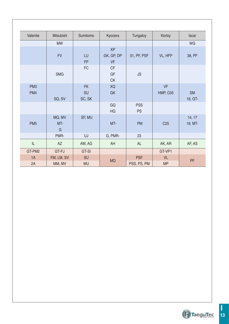| Valenite               | Mitsubishi           | Sumitomo                  | Kyocera                              | Tungaloy                  | Korloy                 | <b>Iscar</b>         |
|------------------------|----------------------|---------------------------|--------------------------------------|---------------------------|------------------------|----------------------|
|                        | <b>MW</b>            |                           |                                      |                           |                        | WG                   |
|                        | <b>FV</b>            | LU<br><b>FP</b>           | <b>XP</b><br>GK, GP, DP<br><b>VF</b> | 01, PF, PSF               | VL, HFP                | 38, PF               |
|                        | <b>SMG</b>           | <b>FC</b>                 | <b>CF</b><br>GF<br><b>CK</b>         | <b>JS</b>                 |                        |                      |
| PM <sub>3</sub><br>PM4 | SQ, SV               | <b>FK</b><br>SU<br>SC, SK | XQ<br>GK                             |                           | <b>VF</b><br>HMP, C05  | <b>SM</b><br>16, GT- |
|                        |                      |                           | GQ<br>HQ                             | <b>PSS</b><br><b>PS</b>   |                        |                      |
| PM <sub>5</sub>        | MQ, MV<br>MT-<br>G   | SF, MU                    | MT-                                  | <b>PM</b>                 | C <sub>25</sub>        | 14, 17<br>19, MT-    |
|                        | PMR-                 | UJ                        | G, PMR-                              | 23                        |                        |                      |
| $\mathsf{IL}$          | <b>AZ</b>            | AW, AG                    | AH                                   | <b>AL</b>                 | AK, AR                 | AF, AS               |
| GT-PM2                 | GT-FJ                | GT-SI                     |                                      |                           | GT-VP1                 |                      |
| 1A<br>2A               | FM, LM, SV<br>MM, MV | SU<br><b>MU</b>           | <b>MQ</b>                            | <b>PSF</b><br>PSS, PS, PM | <b>VL</b><br><b>MP</b> | PF                   |

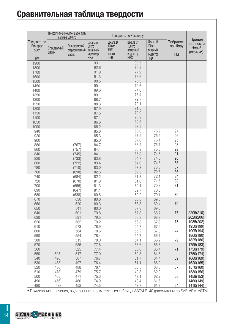# **Сравнительная таблица твердости**

|                                                          |                                           | Твердость по Бринеллю, шарик 10мм<br>нагрузка 3000кгс |                                                               |                                                             | Твёрдость по Роквеллу                                               |                                                          |                                   |                                                                 |
|----------------------------------------------------------|-------------------------------------------|-------------------------------------------------------|---------------------------------------------------------------|-------------------------------------------------------------|---------------------------------------------------------------------|----------------------------------------------------------|-----------------------------------|-----------------------------------------------------------------|
| Твёрдость по<br>Викерсу<br>50 <sub>KT</sub><br><b>HV</b> | Стандартный<br>шарик                      | Вольфрамовый<br>твердосплавный<br>шарик               | Шкала А<br><b>60кгс</b><br>алмазный<br>индентор<br><b>HRA</b> | Шкала В<br><b>100кгс</b><br>$1/16$ "<br>шарик<br><b>HRB</b> | Шкала С<br>100 <sub>Krc</sub><br>алмазный<br>индентор<br><b>HRC</b> | Шкала D<br>100кгс а<br>лмазный<br>индентор<br><b>HRD</b> | Твёрдость<br>по Шору<br><b>HS</b> | Предел<br>прочности<br>H/MM <sup>2</sup><br>$(KFC/MM^2)$        |
| 1900<br>1800<br>1700<br>1600<br>1500                     |                                           |                                                       | 93.1<br>92.6<br>91.9<br>91.3<br>90.5                          |                                                             | 80.5<br>79.2<br>77.9<br>76.6<br>75.3                                |                                                          |                                   |                                                                 |
| 1450<br>1400<br>1350<br>1300<br>1250                     |                                           |                                                       | 90.1<br>89.6<br>89.1<br>88.7<br>88.3                          |                                                             | 74.6<br>74.0<br>73.4<br>72.7<br>72.1                                |                                                          |                                   |                                                                 |
| 1200<br>1150<br>1100<br>1050<br>1000                     |                                           |                                                       | 87.9<br>87.5<br>87.1<br>86.6<br>86.2                          |                                                             | 71.5<br>70.9<br>70.3<br>69.6<br>68.9                                |                                                          |                                   |                                                                 |
| 940<br>920<br>900<br>880<br>860                          |                                           | (767)<br>(757)                                        | 85.6<br>85.3<br>85.0<br>84.7<br>84.4                          |                                                             | 68.0<br>67.5<br>67.0<br>66.4<br>65.9                                | 76.9<br>76.5<br>76.1<br>75.7<br>75.3                     | 97<br>96<br>95<br>93<br>92        |                                                                 |
| 840<br>820<br>800<br>780<br>760                          |                                           | (745)<br>(733)<br>(722)<br>(710)<br>(698)             | 84.1<br>83.8<br>83.4<br>83.0<br>82.6                          |                                                             | 65.3<br>64.7<br>64.0<br>63.3<br>62.5                                | 74.8<br>74.3<br>74.8<br>73.3<br>72.6                     | 91<br>90<br>88<br>87<br>86        |                                                                 |
| 740<br>720<br>700<br>690<br>680                          |                                           | (684)<br>(670)<br>(656)<br>(647)<br>(638)             | 82.2<br>81.8<br>81.3<br>81.1<br>80.8                          |                                                             | 61.8<br>61.0<br>60.1<br>59.7<br>59.2                                | 72.1<br>71.5<br>70.8<br>70.5<br>70.1                     | 84<br>83<br>81<br>80              |                                                                 |
| 670<br>660<br>650<br>640<br>630                          |                                           | 630<br>620<br>611<br>601<br>591                       | 80.6<br>80.3<br>80.0<br>79.8<br>79.5                          |                                                             | 58.8<br>58.3<br>57.8<br>57.3<br>56.8                                | 69.8<br>69.4<br>69.0<br>68.7<br>68.3                     | 79<br>77                          | 2205(210)<br>2020(206)                                          |
| 620<br>610<br>600<br>590<br>580                          |                                           | 582<br>573<br>564<br>554<br>515                       | 79.2<br>78.9<br>78.6<br>78.4<br>78.0                          |                                                             | 56.3<br>55.7<br>55.2<br>54.7<br>54.1                                | 67.9<br>67.5<br>67.0<br>66.7<br>66.2                     | 75<br>74<br>72                    | 1985(202)<br>1950(199)<br>1905(194)<br>1860(190)                |
| 570<br>560<br>550<br>540                                 | (505)<br>(496)                            | 535<br>525<br>517<br>507                              | 77.8<br>77.4<br>77.0<br>76.7<br>76.4                          |                                                             | 53.6<br>53.0<br>52.3<br>51.7<br>51.1                                | 65.8<br>65.4<br>64.8<br>64.4<br>66.2                     | 71<br>69                          | 1825(186)<br>1795(183)<br>1750(179)<br>1750(174)<br>1660(169)   |
| 530<br>520<br>510<br>500<br>490                          | (488)<br>(480)<br>(473)<br>(465)<br>(456) | 497<br>488<br>479<br>471<br>460                       | 76.1<br>75.7<br>75.3<br>74.9                                  |                                                             | 50.5<br>49.8<br>49.1<br>48.4                                        | 63.5<br>62.9<br>62.2<br>61.6                             | 67<br>66                          | 1620(165)<br>1570(160)<br>1530(156)<br>1459(153)<br>1460(149)   |
| 480                                                      | 488                                       | 452                                                   | 74.5                                                          |                                                             | 47.7<br>$A$ $\cap$ T <sub>A</sub>                                   | 61.3<br>$\Lambda$                                        | 64<br>$\bigcap A$ $\sqsubset$     | 1410(144)<br>$\Lambda$ $\cap$ $\Lambda$ $\Lambda$ $\cap$ $\top$ |

• Примечание: значения, выделенные серым взяты из таблицы ASTM E140 (рассчитаны по SAE-ASM-ASTM)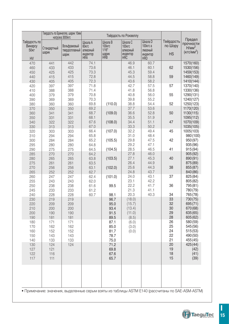|                                                   | Твердость по Бринеллю, шарик 10мм  <br>нагрузка 3000кгс |                                         |                                                                    |                                                             | Твёрдость по Роквеллу                                        |                                                          |                                   |                                                          |
|---------------------------------------------------|---------------------------------------------------------|-----------------------------------------|--------------------------------------------------------------------|-------------------------------------------------------------|--------------------------------------------------------------|----------------------------------------------------------|-----------------------------------|----------------------------------------------------------|
| Твёрдость по<br>Викерсу<br>50 <sub>KT</sub><br>HV | Стандартный<br>шарик                                    | Вольфрамовый<br>твердосплавный<br>шарик | Шкала А<br>60 <sub>Krc</sub><br>алмазный<br>индентор<br><b>HRA</b> | Шкала В<br><b>100кгс</b><br>$1/16$ "<br>шарик<br><b>HRB</b> | Шкала С<br>100 <sub>Krc</sub><br>алмазный<br>индентор<br>HRC | Шкала D<br>100кгс а<br>лмазный<br>индентор<br><b>HRD</b> | Твёрдость<br>по Шору<br><b>HS</b> | Предел<br>прочности<br>H/MM <sup>2</sup><br>$(KFC/MM^2)$ |
| 470                                               | 441                                                     | 442                                     | 74.1                                                               |                                                             | 46.9                                                         | 60.7                                                     |                                   | 1570(160)                                                |
| 460                                               | 433                                                     | 433                                     | 73.6                                                               |                                                             | 46.1                                                         | 60.1                                                     | 62                                | 1530(156)                                                |
| 450                                               | 425                                                     | 425                                     | 73.3                                                               |                                                             | 45.3                                                         | 59.4                                                     |                                   | 1459(153)                                                |
| 440                                               | 415                                                     | 415                                     | 72.8                                                               |                                                             | 44.5                                                         | 58.8                                                     | 59                                | 1460(149)                                                |
| 430                                               | 405                                                     | 405                                     | 72.3                                                               |                                                             | 43.6                                                         | 58.2                                                     |                                   | 1410(144)                                                |
| 420                                               | 397                                                     | 397                                     | 71.8                                                               |                                                             | 42.7                                                         | 57.5                                                     | 57                                | 1370(140)                                                |
| 410                                               | 388                                                     | 388                                     | 71.4                                                               |                                                             | 41.8                                                         | 56.8                                                     |                                   | 1330(136)                                                |
| 400                                               | 379                                                     | 379                                     | 70.8                                                               |                                                             | 40.8                                                         | 56.0                                                     | 55                                | 1290(131)                                                |
| 390                                               | 369                                                     | 369                                     | 70.3                                                               |                                                             | 39.8                                                         | 55.2                                                     |                                   | 1240(127)                                                |
| 380                                               | 360                                                     | 360                                     | 69.8                                                               | (110.0)                                                     | 38.8                                                         | 54.4                                                     | 52                                | 1250(123)                                                |
| 370                                               | 350                                                     | 350                                     | 69.2                                                               |                                                             | 37.7                                                         | 53.6                                                     |                                   | 1170(120)                                                |
| 360                                               | 341                                                     | 341                                     | 68.7                                                               | (109.0)                                                     | 36.6                                                         | 52.8                                                     | 50                                | 1130(115)                                                |
| 350                                               | 331                                                     | 331                                     | 68.1                                                               |                                                             | 35.5                                                         | 51.9                                                     |                                   | 1095(112)                                                |
| 340                                               | 322                                                     | 322                                     | 67.6                                                               | (108.0)                                                     | 34.4                                                         | 51.1                                                     | 47                                | 1070(109)                                                |
| 330                                               | 313                                                     | 313                                     | 67.0                                                               |                                                             | 33.3                                                         | 50.2                                                     |                                   | 1035(105)                                                |
| 320                                               | 303                                                     | 303                                     | 66.4                                                               | (107.0)                                                     | 32.2                                                         | 49.4                                                     | 45                                | 1005(103)                                                |
| 310                                               | 294                                                     | 294                                     | 65.8                                                               |                                                             | 31.0                                                         | 48.4                                                     |                                   | 980 (100)                                                |
| 300                                               | 284                                                     | 284                                     | 65.2                                                               | (105.5)                                                     | 29.8                                                         | 47.5                                                     | 42                                | 950 (97)                                                 |
|                                                   |                                                         |                                         | 64.8                                                               |                                                             | 29.2                                                         | 47.1                                                     |                                   |                                                          |
| 295                                               | 280                                                     | 280                                     |                                                                    |                                                             |                                                              |                                                          | 41                                | 935 (96)                                                 |
| 290                                               | 275                                                     | 275                                     | 64.5                                                               | (104.5)                                                     | 28.5                                                         | 46.5                                                     |                                   | 915 (94)                                                 |
| 285                                               | 270                                                     | 270                                     | 64.2                                                               |                                                             | 27.8                                                         | 46.0                                                     |                                   | 905 (92)                                                 |
| 280                                               | 265                                                     | 265                                     | 63.8                                                               | (103.5)                                                     | 27.1                                                         | 45.3                                                     | 40                                | 890 (91)                                                 |
| 275                                               | 261                                                     | 261                                     | 63.5                                                               |                                                             | 26.4                                                         | 44.9                                                     |                                   | 875 (89)                                                 |
| 270                                               | 256                                                     | 256                                     | 63.1                                                               | (102.0)                                                     | 25.6                                                         | 44.3                                                     | 38                                | 855 (87)                                                 |
| 265                                               | 252                                                     | 252                                     | 62.7                                                               |                                                             | 24.8                                                         | 43.7                                                     |                                   | 840 (86)                                                 |
| 260                                               | 247                                                     | 247                                     | 62.4                                                               | (101.0)                                                     | 24.0                                                         | 43.1                                                     | 37                                | 825 (84)                                                 |
| 255                                               | 243                                                     | 243                                     | 62.0                                                               |                                                             | 23.1                                                         | 42.2                                                     |                                   | 805 (82)                                                 |
| 250                                               | 238                                                     | 238                                     | 61.6                                                               | 99.5                                                        | 22.2                                                         | 41.7                                                     | 36                                | 795 (81)                                                 |
| 245                                               | 233                                                     | 233                                     | 61.2                                                               |                                                             | 21.3                                                         | 41.1                                                     |                                   | 780 (79)                                                 |
| 240                                               | 228                                                     | 228                                     | 60.7                                                               | 98.1                                                        | 20.3                                                         | 40.3                                                     | 34                                | 765 (78)                                                 |
| 230                                               | 219                                                     | 219                                     |                                                                    | 96.7                                                        | (18.0)                                                       |                                                          | 33                                | 730 (75)                                                 |
| 220                                               | 209                                                     | 209                                     |                                                                    | 95.0                                                        | (15.7)                                                       |                                                          | 32                                | 695(71)                                                  |
| 210                                               | 200                                                     | 200                                     |                                                                    | 93.4                                                        | (13.4)                                                       |                                                          | 30                                | 670 (68)                                                 |
| 200                                               | 190                                                     | 190                                     |                                                                    | 91.5                                                        | (11.0)                                                       |                                                          | 29                                | 635 (65)                                                 |
| 190                                               | 181                                                     | 181                                     |                                                                    | 89.5                                                        | (8.5)                                                        |                                                          | 28                                | 605 (62)                                                 |
| 180                                               | 171                                                     | 171                                     |                                                                    | 87.1                                                        | (6.0)                                                        |                                                          | 26                                | 580 (59)                                                 |
| 170                                               | 162                                                     | 162                                     |                                                                    | 85.0                                                        | (3.0)                                                        |                                                          | 25                                | 545 (56)                                                 |
| 160                                               | 152                                                     | 152                                     |                                                                    | 81.7                                                        | (0.0)                                                        |                                                          | 24                                | 515 (53)                                                 |
| 150                                               | 143                                                     | 143                                     |                                                                    | 78.7                                                        |                                                              |                                                          | 22                                | 490 (50)                                                 |
| 140                                               | 133                                                     | 133                                     |                                                                    | 75.0                                                        |                                                              |                                                          | 21                                | 455 (45)                                                 |
| 130                                               | 124                                                     | 124                                     |                                                                    | 71.2                                                        |                                                              |                                                          | 20                                | 425 (44)                                                 |
| 127                                               | 121                                                     |                                         |                                                                    | 69.8                                                        |                                                              |                                                          | 19                                | (42)                                                     |
| 122                                               | 116                                                     |                                         |                                                                    | 67.6                                                        |                                                              |                                                          | 18                                | (41)                                                     |
| 117                                               | 111                                                     |                                         |                                                                    | 65.7                                                        |                                                              |                                                          | 15                                | (39)                                                     |
|                                                   |                                                         |                                         |                                                                    |                                                             |                                                              |                                                          |                                   |                                                          |
|                                                   |                                                         |                                         |                                                                    |                                                             |                                                              |                                                          |                                   |                                                          |

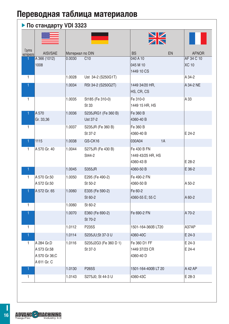### **По стандарту VDI 3323**

|                     |                                                           |                 |                                  | $\geq$                                        |                  |
|---------------------|-----------------------------------------------------------|-----------------|----------------------------------|-----------------------------------------------|------------------|
| Группа<br>материала | AISI/SAE                                                  | Материал по DIN |                                  | <b>BS</b><br>EN                               | <b>AFNOR</b>     |
|                     | A 366 (1012)                                              | 0.0030          | C10                              | 040 A 10                                      | AF 34 C 10       |
|                     | 1008                                                      |                 |                                  | 045 M 10<br>1449 10 CS                        | <b>XC 10</b>     |
| $\mathbf{1}$        |                                                           | 1.0028          | Ust 34-2 (S250G1T)               |                                               | A 34-2           |
| 1                   |                                                           | 1.0034          | RSt 34-2 (S250G2T)               | 1449 34/20 HR.<br>HS, CR, CS                  | A 34-2 NE        |
| $\mathbf{1}$        |                                                           | 1.0035          | St185 (Fe 310-0)<br>St 33        | Fe 310-0<br>1449 15 HR, HS                    | A 33             |
|                     | A 570                                                     | 1.0036          | S235JRG1 (Fe 360 B)              | Fe 360 B                                      |                  |
|                     | Gr. 33,36                                                 |                 | Ust 37-2                         | 4360-40 B                                     |                  |
| 1                   |                                                           | 1.0037          | S235JR (Fe 360 B)                | Fe 360 B                                      |                  |
|                     |                                                           |                 | St 37-2                          | 4360-40 B                                     | E 24-2           |
|                     | 1115                                                      | 1.0038          | GS-CK16                          | 1A<br>030A04                                  |                  |
| 1                   | A 570 Gr. 40                                              | 1.0044          | S275JR (Fe 430 B)<br>St44-2      | Fe 430 B FN<br>1449 43/25 HR, HS<br>4360-43 B | E 28-2           |
| 1                   |                                                           | 1.0045          | <b>S355JR</b>                    | 4360-50 B                                     | E 36-2           |
| 1                   | A 570 Gr.50                                               | 1.0050          | E295 (Fe 490-2)                  | Fe 490-2 FN                                   |                  |
|                     | A 572 Gr.50                                               |                 | St 50-2                          | 4360-50 B                                     | A 50-2           |
| 1                   | A 572 Gr. 65                                              | 1.0060          | E335 (Fe 590-2)<br>St 60-2       | Fe 60-2<br>4360-55 E; 55 C                    | A 60-2           |
| $\mathbf{1}$        |                                                           | 1.0060          | St 60-2                          |                                               |                  |
|                     |                                                           | 1.0070          | E360 (Fe 690-2)<br>St 70-2       | Fe 690-2 FN                                   | A 70-2           |
| 1                   |                                                           | 1.0112          | P235S                            | 1501-164-360B LT20                            | A37AP            |
| 1                   |                                                           | 1.0114          | S235JU;St 37-3 U                 | 4360-40C                                      | E 24-3           |
| 1                   | A 284 Gr.D<br>A 573 Gr.58<br>A 570 Gr 36:C<br>A 611 Gr. C | 1.0116          | S235J2G3 (Fe 360 D 1)<br>St 37-3 | Fe 360 D1 FF<br>1449 37/23 CR<br>4360-40 D    | E 24-3<br>E 24-4 |
| 1                   |                                                           | 1.0130          | P <sub>265</sub> S               | 1501-164-400BLT 20                            | A 42 AP          |
| 1                   |                                                           | 1.0143          | S275J0; St 44-3 U                | 4360-43C                                      | E 28-3           |

TaeguTec Industry 4.0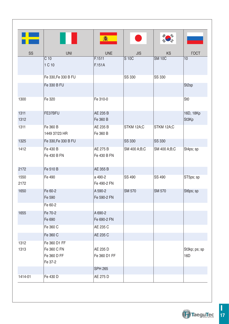|              |                                                       | 翕                        |               |               |                      |
|--------------|-------------------------------------------------------|--------------------------|---------------|---------------|----------------------|
| SS           | <b>UNI</b>                                            | <b>UNE</b>               | <b>JIS</b>    | <b>KS</b>     | <b>TOCT</b>          |
|              | $C$ 10<br>1 C 10                                      | F.1511<br>F.151A         | S 10C         | <b>SM 10C</b> | 10                   |
|              | Fe 330, Fe 330 B FU                                   |                          | SS 330        | SS 330        |                      |
|              | Fe 330 B FU                                           |                          |               |               | St <sub>2sp</sub>    |
| 1300         | Fe 320                                                | Fe 310-0                 |               |               | St <sub>0</sub>      |
| 1311<br>1312 | FE37BFU                                               | AE 235 B<br>Fe 360 B     |               |               | 16D, 18Kp<br>St3Kp   |
| 1311         | Fe 360 B<br>1449 37/23 HR                             | AE 235 B<br>Fe 360 B     | STKM 12A;C    | STKM 12A;C    |                      |
| 1325         | Fe 330, Fe 330 B FU                                   |                          | <b>SS 330</b> | <b>SS 330</b> |                      |
| 1412         | Fe 430 B<br>Fe 430 B FN                               | AE 275 B<br>Fe 430 B FN  | SM 400 A;B;C  | SM 400 A;B;C  | St4ps; sp            |
| 2172         | Fe 510 B                                              | AE 355 B                 |               |               |                      |
| 1550<br>2172 | Fe 490                                                | a 490-2<br>Fe 490-2 FN   | SS 490        | SS 490        | ST5ps; sp            |
| 1650         | Fe 60-2<br>Fe 590                                     | A 590-2<br>Fe 590-2 FN   | <b>SM 570</b> | <b>SM 570</b> | St6ps; sp            |
|              | Fe 60-2                                               |                          |               |               |                      |
| 1655         | Fe 70-2<br>Fe 690                                     | A 690-2<br>Fe 690-2 FN   |               |               |                      |
|              | Fe 360 C                                              | AE 235 C                 |               |               |                      |
|              | Fe 360 C                                              | AE 235 C                 |               |               |                      |
| 1312<br>1313 | Fe 360 D1 FF<br>Fe 360 C FN<br>Fe 360 D FF<br>Fe 37-2 | AE 235 D<br>Fe 360 D1 FF |               |               | St3kp; ps; sp<br>16D |
|              |                                                       | <b>SPH 265</b>           |               |               |                      |
| 1414-01      | Fe 430 D                                              | AE 275 D                 |               |               |                      |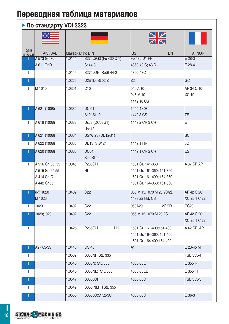### ▶ По стандарту VDI 3323

|                     |                                                                   |                 |                                 |     | $\frac{N}{N}$                                                                                           |       |                             |
|---------------------|-------------------------------------------------------------------|-----------------|---------------------------------|-----|---------------------------------------------------------------------------------------------------------|-------|-----------------------------|
| Группа<br>материала | AISI/SAE                                                          | Материал по DIN |                                 |     | <b>BS</b>                                                                                               | EN    | <b>AFNOR</b>                |
|                     | A 573 Gr. 70                                                      | 1.0144          | S275J2G3 (Fe 430 D 1)           |     | Fe 430 D1 FF                                                                                            |       | $E$ 28-3                    |
|                     | A 611 Gr.D                                                        |                 | St 44-3                         |     | 4360-43 C; 43 D                                                                                         |       | E 28-4                      |
| 1                   |                                                                   | 1.0149          | S275JOH; RoSt 44-2              |     | 4360-43C                                                                                                |       |                             |
| 1                   |                                                                   | 1.0226          | DX51D; St 02 Z                  |     | Z <sub>2</sub>                                                                                          |       | GC                          |
| 1                   | M 1010                                                            | 1.0301          | C10                             |     | 040 A 10<br>045 M 10<br>1449 10 CS                                                                      |       | AF 34 C 10<br><b>XC 10</b>  |
|                     | A 621 (1008)                                                      | 1.0330          | <b>DC 01</b>                    |     | 1449 4 CR                                                                                               |       |                             |
|                     |                                                                   |                 | St 2; St 12                     |     | 1449 3 CS                                                                                               |       | <b>TE</b>                   |
| 1                   | A 619 (1008)                                                      | 1.0333          | Ust 3 (DC03G1)<br><b>Ust 13</b> |     | 1449 2 CR;3 CR                                                                                          |       | E                           |
| 1                   | A 621 (1008)                                                      | 1.0334          | UStW 23 (DD12G1)                |     |                                                                                                         |       | <b>SC</b>                   |
| 1                   | A 622 (1008)                                                      | 1.0335          | DD13; StW 24                    |     | 1449 1 HR                                                                                               |       | 3C                          |
| 1                   | A 620 (1008)                                                      | 1.0338          | DC04<br>St4; St 14              |     | 1449 1 CR; 2 CR                                                                                         |       | ES                          |
| 1                   | A 516 Gr. 65; 55<br>A 515 Gr. 65:55<br>A 414 Gr. C<br>A 442 Gr.55 | 1.0345          | <b>P235GH</b><br>HI             |     | 1501 Gr. 141-360<br>1501 Gr. 161-360; 151-360<br>1501 Gr. 161-400; 154-360<br>1501 Gr. 164-360; 161-360 |       | A 37 CP;AP                  |
|                     | (M) 1020<br>M 1023                                                | 1.0402          | C <sub>22</sub>                 |     | 055 M 15, 070 M 20 2C/2D<br>1499 22 HS, CS                                                              |       | AF 42 C 20;<br>XC 25;1 C 22 |
| 1                   | 1020                                                              | 1.0402          | C <sub>22</sub>                 |     | 050A20                                                                                                  | 2C/2D | CC <sub>20</sub>            |
|                     | 1020;1023                                                         | 1.0402          | C <sub>22</sub>                 |     | 055 M 15, 070 M 20 2C                                                                                   |       | AF 42 C 20;<br>XC 25;1 C 22 |
| 1                   |                                                                   | 1.0425          | <b>P265GH</b>                   | HII | 1501 Gr. 161-400;151-400<br>1501 Gr. 164-360; 161-400<br>1501 Gr. 164-400;154-400                       |       | A 42 CP; AP                 |
|                     | A27 65-35                                                         | 1.0443          | GS-45                           |     | A <sub>1</sub>                                                                                          |       | E 23-45 M                   |
| $\mathbf{1}$        |                                                                   | 1.0539          | S355NH;StE 335                  |     |                                                                                                         |       | TSE 355-4                   |
| 1                   |                                                                   | 1.0545          | S355N; StE 355                  |     | 4360-50E                                                                                                |       | E 355 R                     |
| 1                   |                                                                   | 1.0546          | S355NL;TStE 355                 |     | 4360-50EE                                                                                               |       | E 355 FP                    |
|                     |                                                                   | 1.0547          | S355JOH                         |     | 4360-50C                                                                                                |       | TSE 355-3                   |
| 1                   |                                                                   | 1.0549          | S355 NLH; TStE 355              |     |                                                                                                         |       |                             |
| 1                   |                                                                   | 1.0553          | S355JO;St 52-3U                 |     | 4360-50C                                                                                                |       | E 36-3                      |

**ADVANC - MACHINING**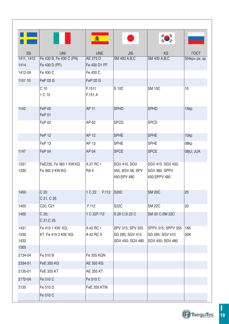|                      |                                          | 翕                       |                                                         |                                                           |              |
|----------------------|------------------------------------------|-------------------------|---------------------------------------------------------|-----------------------------------------------------------|--------------|
| SS                   | <b>UNI</b>                               | <b>UNE</b>              | <b>JIS</b>                                              | KS                                                        | <b>TOCT</b>  |
| 1411, 1412           | Fe 430 B, Fe 430 C (FN)                  | AE 275 D                | SM 400 A;B;C                                            | SM 400 A;B;C                                              | St4kp>ps; sp |
| 1414                 | Fe 430 D (FF)                            | Fe 430 D1 FF            |                                                         |                                                           |              |
| 1412-04              | Fe 430 C                                 | Fe 430 C                |                                                         |                                                           |              |
| 1151 10              | FeP 02 G                                 | <b>FeP 02 G</b>         |                                                         |                                                           |              |
|                      | C <sub>10</sub><br>1 C 10                | F.1511<br>F.151.A       | S 10C                                                   | <b>SM 10C</b>                                             | 10           |
| 1142                 | FeP 00<br>FeP 01                         | <b>AP 11</b>            | <b>SPHD</b>                                             | <b>SPHD</b>                                               | 15kp         |
|                      | FeP 02                                   | AP 02                   | <b>SPCD</b>                                             | <b>SPCD</b>                                               |              |
|                      | FeP <sub>12</sub>                        | <b>AP 12</b>            | <b>SPHE</b>                                             | <b>SPHE</b>                                               | 10kp         |
|                      | FeP <sub>13</sub>                        | AP 13                   | <b>SPHE</b>                                             | <b>SPHE</b>                                               | 08kp         |
| 1147                 | FeP 04                                   | <b>AP 04</b>            | <b>SPCE</b>                                             | <b>SPCE</b>                                               | 08jU; JUA    |
| 1331<br>1330         | FeE235, Fe 360 1 KW;KG<br>Fe 360 2 KW;KG | A 37 RC I<br>RA II      | <b>SGV 410, SGV</b><br>450, SGV 48, SPV<br>450;SPV 480  | SGV 410, SGV 450,<br>SGV 480, SPPV<br>450;SPPV 480        |              |
| 1450                 | C <sub>20</sub><br>C 21, C 25            | 1 C 22<br>F.112         | <b>S20C</b>                                             | <b>SM 20C</b>                                             | 20           |
| 1450                 | C20, C21                                 | F.112                   | <b>S22C</b>                                             | <b>SM 22C</b>                                             | 20           |
| 1450                 | C 20;<br>C 21;C 25                       | 1 C 22F.112             | S 20 C;S 22 C                                           | SM 20 C;SM 22C                                            |              |
| 1431<br>1430<br>1432 | Fe 410 1 KW; KG;<br>KT Fe 410 2 KW; KG   | A 42 RC I<br>A 42 RC II | SPV 315; SPV 355<br>SG 295; SGV 410<br>SGV 450; SGV 480 | SPPV 315; SPPV 355<br>SG 295; SGV 410<br>SGV 450; SGV 480 | 16K<br>20K   |
| 1305                 |                                          |                         |                                                         |                                                           |              |
| 2134-04              | Fe 510 B                                 | Fe 355 KGN              |                                                         |                                                           |              |
| 2334-01              | <b>FeE 355 KG</b>                        | <b>AE 355 KG</b>        |                                                         |                                                           |              |
| 2135-01              | <b>FeE 355 KT</b>                        | AE 355 KT               |                                                         |                                                           |              |
| 2172-04              | Fe 510 C                                 | Fe 510 C                |                                                         |                                                           |              |
| 2135                 | Fe 510 D                                 | <b>FeE 355 KTM</b>      |                                                         |                                                           |              |
|                      | Fe 510 C                                 |                         |                                                         |                                                           |              |

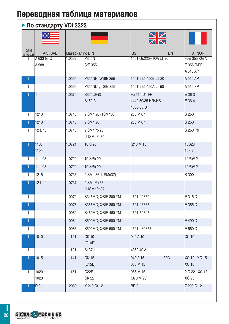### **По стандарту VDI 3323**

|                     |                     |                 |                                   | $\frac{N}{N}$                                 |                                         |
|---------------------|---------------------|-----------------|-----------------------------------|-----------------------------------------------|-----------------------------------------|
| Группа<br>материала | AISI/SAE            | Материал по DIN |                                   | <b>BS</b><br>EN                               | <b>AFNOR</b>                            |
| 1                   | A 633 Gr.C<br>A 588 | 1.0562          | P355N<br><b>StE 355</b>           | 1501 Gr.225-490A LT 20                        | FeE 355 KG N<br>E 355 R/FP;<br>A 510 AP |
| 1                   |                     | 1.0565          | P355NH; WStE 355                  | 1501-225-490B LT 20                           | A 510 AP                                |
| $\mathbf{1}$        |                     | 1.0566          | P355NL1; TStE 355                 | 1501-225-490A LT 50                           | A 510 FP                                |
|                     | 1                   | 1.0570          | S355J2G3<br>St 52-3               | Fe 510 D1 FF<br>1449 50/35 HR>HS<br>4360-50 D | E 36-3<br>E 36-4                        |
| $\mathbf{1}$        | 1213                | 1.0715          | 9 SMn 28 (1SMn30)                 | 230 M 07                                      | S 250                                   |
| 1                   | 1213                | 1.0715          | 9 SMn 28                          | 230 M 07                                      | S 250                                   |
| $\mathbf{1}$        | 12L13               | 1.0718          | 9 SMnPb 28<br>(11SMnPb30)         |                                               | S 250 Pb                                |
| 1                   | 1108<br>1109        | 1.0721          | 10 S 20                           | (210 M 15)                                    | 10S20<br>10F <sub>2</sub>               |
| $\mathbf{1}$        | 11 L 08             | 1.0722          | 10 SPb 20                         |                                               | 10PbF2                                  |
| 1.                  | 11 L 08             | 1.0722          | 10 SPb 20                         |                                               | 10PbF 2                                 |
| $\mathbf{1}$        | 1215                | 1.0736          | 9 SMn 36 11 SMn 37)               |                                               | S 300                                   |
| 1                   | 12L14               | 1.0737          | 9 SMnPb 36<br>(11SMnPb37)         |                                               |                                         |
| $\mathbf{1}$        |                     | 1.0972          | S315MC; QStE 300 TM               | 1501-40F30                                    | E 315 D                                 |
| 1                   |                     | 1.0976          | S355MC; QStE 360 TM               | 1501-43F35                                    | E 355 D                                 |
| $\mathbf{1}$        |                     | 1.0982          | S460MC; QStE 460 TM               | 1501-50F45                                    |                                         |
| 1                   |                     | 1.0984          | S500MC; QStE 500 TM               |                                               | E 490 D                                 |
| $\mathbf{1}$        |                     | 1.0986          | S500MC; QStE 500 TM               | 1501 - 60F55                                  | E 560 D                                 |
| 1                   | 1010                | 1.1121          | <b>CK10</b><br>(C10E)             | 040 A 10                                      | <b>XC 10</b>                            |
| $\mathbf{1}$        |                     | 1.1121          | St 37-1                           | 4360 40 A                                     |                                         |
|                     | 1015                | 1.1141          | <b>CK15</b><br>(C15E)             | 32C<br>040 A 15<br>080 M 15                   | XC 12 XC 15<br><b>XC 18</b>             |
| 1                   | 1020<br>1023        | 1.1151          | C <sub>22</sub> E<br><b>CK 22</b> | 055 M 15<br>(070 M 20)                        | 2 C 22 XC 18<br><b>XC 25</b>            |
|                     | D <sub>3</sub>      | 1.2080          | X 210 Cr 12                       | BD <sub>3</sub>                               | Z 200 C 12                              |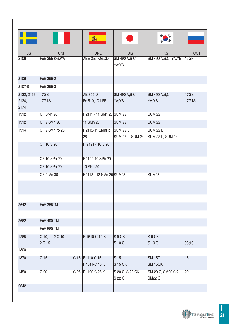|                             |                             | 鑫                                 |                              |                                                          |                      |
|-----------------------------|-----------------------------|-----------------------------------|------------------------------|----------------------------------------------------------|----------------------|
| SS                          | <b>UNI</b>                  | <b>UNE</b>                        | <b>JIS</b>                   | <b>KS</b>                                                | <b>FOCT</b>          |
| 2106                        | FeE 355 KG;KW               | AEE 355 KG;DD                     | SM 490 A;B;C;<br>YA;YB       | SM 490 A;B;C; YA;YB                                      | 15GF                 |
| 2106                        | FeE 355-2                   |                                   |                              |                                                          |                      |
| 2107-01                     | FeE 355-3                   |                                   |                              |                                                          |                      |
| 2132, 2133<br>2134,<br>2174 | 17GS<br><b>17G1S</b>        | AE 355 D<br>Fe 510, D1 FF         | SM 490 A;B;C;<br>YA:YB       | SM 490 A;B;C;<br>YA:YB                                   | <b>17GS</b><br>17G1S |
| 1912                        | CF SMn 28                   | F.2111 - 11 SMn 28 SUM 22         |                              | <b>SUM 22</b>                                            |                      |
| 1912                        | <b>CF 9 SMn 28</b>          | 11 SMn 28                         | <b>SUM 22</b>                | <b>SUM 22</b>                                            |                      |
| 1914                        | CF 9 SMnPb 28               | F.2112-11 SMnPb<br>28             | SUM <sub>22</sub> L          | <b>SUM 22 L</b><br>SUM 23 L, SUM 24 L SUM 23 L, SUM 24 L |                      |
|                             | CF 10 S 20                  | F. 2121 - 10 S 20                 |                              |                                                          |                      |
|                             | CF 10 SPb 20                | F.2122-10 SPb 20                  |                              |                                                          |                      |
|                             | CF 10 SPb 20                | 10 SPb 20                         |                              |                                                          |                      |
|                             | CF 9 Mn 36                  | F.2113 - 12 SMn 35 SUM25          |                              | <b>SUM25</b>                                             |                      |
|                             |                             |                                   |                              |                                                          |                      |
|                             |                             |                                   |                              |                                                          |                      |
| 2642                        | FeE 355TM                   |                                   |                              |                                                          |                      |
| 2662                        | <b>FeE 490 TM</b>           |                                   |                              |                                                          |                      |
|                             | <b>FeE 560 TM</b>           |                                   |                              |                                                          |                      |
| 1265                        | $C$ 10,<br>2 C 10<br>2 C 15 | F-1510-C 10 K                     | S9CK<br>S 10 C               | S <sub>9</sub> CK<br>S 10 C                              | 08:10                |
| 1300                        |                             |                                   |                              |                                                          |                      |
| 1370                        | C <sub>15</sub>             | C 16 F.1110-C 15<br>F.1511-C 16 K | S <sub>15</sub><br>$S$ 15 CK | <b>SM 15C</b><br>SM <sub>15CK</sub>                      | 15                   |
| 1450                        | C <sub>20</sub>             | C 25   F.1120-C 25 K              | S 20 C, S 20 CK<br>S 22 C    | SM 20 C, SM20 CK<br>SM22 C                               | 20                   |
| 2642                        |                             |                                   |                              |                                                          |                      |

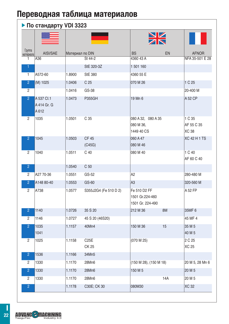### **По стандарту VDI 3323**

|                     |                                   |                 |                       |                                                     | $\frac{N}{2}$ |                                      |
|---------------------|-----------------------------------|-----------------|-----------------------|-----------------------------------------------------|---------------|--------------------------------------|
| Группа<br>материала | AISI/SAE                          | Материал по DIN |                       | <b>BS</b>                                           | EN            | <b>AFNOR</b>                         |
| 1                   | A36                               |                 | St 44-2               | 4360 43 A                                           |               | NFA 35-501 E 28                      |
| 1                   |                                   |                 | StE 320-3Z            | 1 501 160                                           |               |                                      |
| $\mathbf{1}$        | A572-60                           | 1.8900          | <b>StE 380</b>        | 4360 55 E                                           |               |                                      |
| $\overline{2}$      | (M) 1025                          | 1.0406          | C <sub>25</sub>       | 070 M 26                                            |               | 1 C 25                               |
| $\overline{2}$      |                                   | 1.0416          | GS-38                 |                                                     |               | 20-400 M                             |
| $\overline{2}$      | A 537 Cl.1<br>A 414 Gr. G<br>A612 | 1.0473          | <b>P355GH</b>         | 19 Mn 6                                             |               | A 52 CP                              |
| $\overline{2}$      | 1035                              | 1.0501          | C <sub>35</sub>       | 080 A 32, 080 A 35<br>080 M 36,<br>1449 40 CS       |               | 1 C 35<br>AF 55 C 35<br><b>XC 38</b> |
| $\overline{2}$      | 1045                              | 1.0503          | <b>CF45</b><br>(C45G) | 060 A 47<br>080 M 46                                |               | <b>XC 42 H 1 TS</b>                  |
| $\overline{2}$      | 1040                              | 1.0511          | C <sub>40</sub>       | 080 M 40                                            |               | 1 C 40<br>AF 60 C 40                 |
| $\overline{2}$      |                                   | 1.0540          | C <sub>50</sub>       |                                                     |               |                                      |
| 2                   | A27 70-36                         | 1.0551          | GS-52                 | A <sub>2</sub>                                      |               | 280-480 M                            |
| $\overline{2}$      | A148 80-40                        | 1.0553          | GS-60                 | A3                                                  |               | 320-560 M                            |
| $\overline{2}$      | A738                              | 1.0577          | S355J2G4 (Fe 510 D 2) | Fe 510 D2 FF<br>1501 Gr.224-460<br>1501 Gr. 224-490 |               | A 52 FP                              |
| $\overline{2}$      | 1140                              | 1.0726          | 35 S 20               | 212 M 36                                            | 8M            | 35MF 6                               |
| $\overline{2}$      | 1146                              | 1.0727          | 45 S 20 (46S20)       |                                                     |               | 45 MF 4                              |
| $\overline{2}$      | 1035<br>1041                      | 1.1157          | 40Mn4                 | 150 M 36                                            | 15            | 35 M 5<br>40 M 5                     |
| $\overline{2}$      | 1025                              | 1.1158          | C25E<br>CK 25         | (070 M 25)                                          |               | 2 C 25<br>XC 25                      |
| $\overline{2}$      | 1536                              | 1.1166          | 34Mn5                 |                                                     |               |                                      |
| $\overline{2}$      | 1330                              | 1.1170          | 28Mn6                 | (150 M 28), (150 M 18)                              |               | 20 M 5, 28 Mn 6                      |
| $\overline{2}$      | 1330                              | 1.1170          | 28Mn6                 | 150 M 5                                             |               | 20 M 5                               |
| $\overline{c}$      | 1330                              | 1.1170          | 28Mn6                 |                                                     | 14A           | 20 M 5                               |
| $\overline{c}$      |                                   | 1.1178          | C30E; CK 30           | 080M30                                              |               | <b>XC 32</b>                         |

**ADVANC - MACHINING**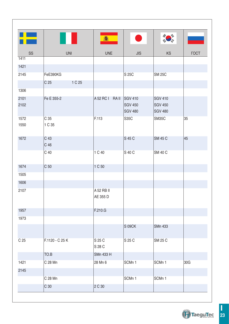| <b>The Second Second</b> |                           | 鑫                      |                                                    |                                                    |             |
|--------------------------|---------------------------|------------------------|----------------------------------------------------|----------------------------------------------------|-------------|
| SS                       | <b>UNI</b>                | <b>UNE</b>             | <b>JIS</b>                                         | <b>KS</b>                                          | <b>TOCT</b> |
| 1411                     |                           |                        |                                                    |                                                    |             |
| 1421                     |                           |                        |                                                    |                                                    |             |
| 2145                     | FeE390KG                  |                        | S 25C                                              | <b>SM 25C</b>                                      |             |
|                          | C <sub>25</sub><br>1 C 25 |                        |                                                    |                                                    |             |
| 1306                     |                           |                        |                                                    |                                                    |             |
| 2101<br>2102             | Fe E 355-2                | A 52 RC I RA II        | <b>SGV 410</b><br><b>SGV 450</b><br><b>SGV 480</b> | <b>SGV 410</b><br><b>SGV 450</b><br><b>SGV 480</b> |             |
| 1572<br>1550             | C <sub>35</sub><br>1 C 35 | F.113                  | S35C                                               | SM35C                                              | 35          |
| 1672                     | C 43<br>C 46              |                        | S 45 C                                             | <b>SM 45 C</b>                                     | 45          |
|                          | C <sub>40</sub>           | 1 C 40                 | S 40 C                                             | <b>SM 40 C</b>                                     |             |
| 1674                     | C <sub>50</sub>           | 1 C 50                 |                                                    |                                                    |             |
| 1505                     |                           |                        |                                                    |                                                    |             |
| 1606                     |                           |                        |                                                    |                                                    |             |
| 2107                     |                           | A 52 RB II<br>AE 355 D |                                                    |                                                    |             |
| 1957                     |                           | F.210.G                |                                                    |                                                    |             |
| 1973                     |                           |                        |                                                    |                                                    |             |
|                          |                           |                        | S 09CK                                             | <b>SMn 433</b>                                     |             |
| C <sub>25</sub>          | F.1120 - C 25 K           | S 25 C<br>S 28 C       | S 25 C                                             | SM 25 C                                            |             |
|                          | TO.B                      | <b>SMn 433 H</b>       |                                                    |                                                    |             |
| 1421                     | C 28 Mn                   | 28 Mn 6                | SCMn 1                                             | SCMn 1                                             | 30G         |
| 2145                     |                           |                        |                                                    |                                                    |             |
|                          | C 28 Mn                   |                        | SCMn 1                                             | SCMn 1                                             |             |
|                          | C <sub>30</sub>           | 2 C 30                 |                                                    |                                                    |             |

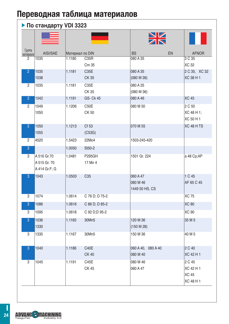### **По стандарту VDI 3323**

|                     | .             |                 |                                   | $\frac{N}{N}$          |                            |
|---------------------|---------------|-----------------|-----------------------------------|------------------------|----------------------------|
| Группа<br>материала | AISI/SAE      | Материал по DIN |                                   | <b>BS</b><br>EN        | <b>AFNOR</b>               |
| 2                   | 1035          | 1.1180          | C <sub>35</sub> R                 | 080 A 35               | 3 C 35                     |
|                     |               |                 | Cm 35                             |                        | XC 32                      |
| $\overline{2}$      | 1035<br>1038  | 1.1181          | C <sub>35</sub> E<br><b>CK 35</b> | 080 A 35<br>(080 M 36) | 2 C 35, XC 32<br>XC 38 H 1 |
|                     |               |                 |                                   |                        |                            |
| 2                   | 1035          | 1.1181          | C35E<br>CK 35                     | 080 A 35<br>(080 M 36) |                            |
| $\overline{2}$      | 1042          | 1.1191          | GS- Ck 45                         | 080 A 46               | <b>XC 45</b>               |
| $\overline{2}$      | 1049          | 1.1206          | C50E                              | 080 M 50               | 2 C 50                     |
|                     | 1050          |                 | CK 50                             |                        | XC 48 H 1;                 |
|                     |               |                 |                                   |                        | XC 50 H 1                  |
| $\overline{2}$      | 1050          | 1.1213          | Cf 53                             | 070 M 55               | XC 48 H TS                 |
|                     | 1055          |                 | (C53G)                            |                        |                            |
| $\overline{2}$      | 4520          | 1.5423          | 22Mo4                             | 1503-245-420           |                            |
| 3                   |               | 1.0050          | St50-2                            |                        |                            |
| 3                   | A 516 Gr.70   | 1.0481          | <b>P295GH</b>                     | 1501 Gr. 224           | a 48 Cp;AP                 |
|                     | A 515 Gr. 70  |                 | 17 Mn 4                           |                        |                            |
|                     | A 414 Gr.F; G |                 |                                   |                        |                            |
| 3                   | 1043          | 1.0503          | C <sub>35</sub>                   | 060 A 47               | 1 C 45                     |
|                     |               |                 |                                   | 080 M 46               | AF 65 C 45                 |
|                     |               |                 |                                   | 1449 50 HS, CS         |                            |
| 3                   | 1074          | 1.0614          | C 76 D; D 75-2                    |                        | XC 75                      |
| 3                   | 1086          | 1.0616          | C 86 D; D 85-2                    |                        | <b>XC 80</b>               |
| 3                   | 1095          | 1.0618          | C 92 D;D 95-2                     |                        | <b>XC 90</b>               |
| 3                   | 1036          | 1.1165          | 30Mn5                             | 120 M 36               | 35 M 5                     |
|                     | 1330          |                 |                                   | (150 M 28)             |                            |
| 3                   | 1335          | 1.1167          | 30Mn5                             | 150 M 36               | 40 M 5                     |
|                     |               |                 |                                   |                        |                            |
| 3                   | 1040          | 1.1186          | C40E                              | 060 A 40, 080 A 40     | 2 C 40                     |
|                     |               |                 | <b>CK 40</b>                      | 080 M 40               | XC 42 H 1                  |
| 3                   | 1045          | 1.1191          | C45E                              | 080 M 46               | 2 C 45                     |
|                     |               |                 | CK 45                             | 060 A 47               | XC 42 H 1                  |
|                     |               |                 |                                   |                        | <b>XC 45</b>               |
|                     |               |                 |                                   |                        | XC 48 H 1                  |

TaeguTec Industry 4.0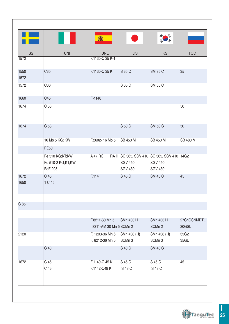|              |                                                        | 鑫                                          |                                                                                          |                                  |                      |
|--------------|--------------------------------------------------------|--------------------------------------------|------------------------------------------------------------------------------------------|----------------------------------|----------------------|
| SS           | <b>UNI</b>                                             | <b>UNE</b>                                 | <b>JIS</b>                                                                               | <b>KS</b>                        | <b>TOCT</b>          |
| 1572         |                                                        | F.1130-C 35 K-1                            |                                                                                          |                                  |                      |
| 1550<br>1572 | C <sub>35</sub>                                        | F.1130-C 35 K                              | S 35 C                                                                                   | <b>SM 35 C</b>                   | 35                   |
| 1572         | C36                                                    |                                            | S 35 C                                                                                   | SM 35 C                          |                      |
| 1660         | C45                                                    | F-1140                                     |                                                                                          |                                  |                      |
| 1674         | C <sub>50</sub>                                        |                                            |                                                                                          |                                  | 50                   |
| 1674         | C <sub>53</sub>                                        |                                            | S 50 C                                                                                   | <b>SM 50 C</b>                   | 50                   |
|              | 16 Mo 5 KG; KW                                         | F.2602-16 Mo 5                             | <b>ISB 450 M</b>                                                                         | SB 450 M                         | SB 480 M             |
|              | <b>FE50</b>                                            |                                            |                                                                                          |                                  |                      |
|              | Fe 510 KG;KT;KW<br>Fe 510-2 KG;KT;KW<br><b>FeE 295</b> |                                            | A 47 RC I RA II SG 365, SGV 410 SG 365, SGV 410 14G2<br><b>SGV 450</b><br><b>SGV 480</b> | <b>SGV 450</b><br><b>SGV 480</b> |                      |
| 1672<br>1650 | C <sub>45</sub><br>1 C 45                              | F.114                                      | S 45 C                                                                                   | <b>SM 45 C</b>                   | 45                   |
|              |                                                        |                                            |                                                                                          |                                  |                      |
| C 85         |                                                        |                                            |                                                                                          |                                  |                      |
|              |                                                        | F.8211-30 Mn 5<br>f.8311-AM 30 Mn 5 SCMn 2 | <b>SMn 433 H</b>                                                                         | <b>SMn 433 H</b><br>SCMn 2       | 27ChGSNMDTL<br>30GSL |
| 2120         |                                                        | F. 1203-36 Mn 6<br>F. 8212-36 Mn 5         | SMn 438 (H)<br>SCMn 3                                                                    | SMn 438 (H)<br>SCMn 3            | 35G2<br>35GL         |
|              | C <sub>40</sub>                                        |                                            | S 40 C                                                                                   | <b>SM 40 C</b>                   |                      |
| 1672         | C 45<br>C 46                                           | F.1140-C 45 K<br>F.1142-C48 K              | S 45 C<br>S 48 C                                                                         | S 45 C<br>S 48 C                 | 45                   |
|              |                                                        |                                            |                                                                                          |                                  |                      |

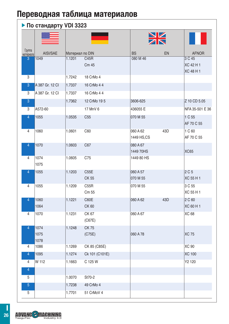|                     |                      |                 |                       |                        | $\frac{N}{N}$ |                                  |
|---------------------|----------------------|-----------------|-----------------------|------------------------|---------------|----------------------------------|
| Группа<br>материала | AISI/SAE             | Материал по DIN |                       | <b>BS</b>              | EN            | <b>AFNOR</b>                     |
| 3                   | 1049                 | 1.1201          | C45R<br>Cm 45         | 080 M 46               |               | 3 C 45<br>XC 42 H 1<br>XC 48 H 1 |
| 3                   |                      | 1.7242          | 18 CrMo 4             |                        |               |                                  |
| 3                   | A 387 Gr. 12 CI      | 1.7337          | 16 CrMo 4 4           |                        |               |                                  |
| $\overline{3}$      | A 387 Gr. 12 CI      | 1.7337          | 16 CrMo 4 4           |                        |               |                                  |
| 3                   |                      | 1.7362          | 12 CrMo 19 5          | 3606-625               |               | Z 10 CD 5.05                     |
| 3                   | A572-60              |                 | 17 MnV 6              | 436055 E               |               | NFA 35-501 E 36                  |
| $\overline{4}$      | 1055                 | 1.0535          | C <sub>55</sub>       | 070 M 55               |               | 1 C 55<br>AF 70 C 55             |
| 4                   | 1060                 | 1.0601          | C60                   | 060 A 62<br>1449 HS,CS | 43D           | 1 C 60<br>AF 70 C 55             |
| $\overline{4}$      | 1070                 | 1.0603          | C67                   | 080 A 67<br>1449 70HS  |               | <b>XC65</b>                      |
| $\overline{4}$      | 1074<br>1075         | 1.0605          | C75                   | 1449 80 HS             |               |                                  |
| 4                   | 1055                 | 1.1203          | C55E<br><b>CK 55</b>  | 060 A 57<br>070 M 55   |               | 2 C 5<br>XC 55 H 1               |
| $\overline{4}$      | 1055                 | 1.1209          | C55R<br>Cm 55         | 070 M 55               |               | 3 C 55<br>XC 55 H 1              |
| 4                   | 1060<br>1064         | 1.1221          | C60E<br><b>CK 60</b>  | 060 A 62               | 43D           | 2 C 60<br>XC 60 H 1              |
| $\overline{4}$      | 1070                 | 1.1231          | CK 67<br>(C67E)       | 060 A 67               |               | <b>XC 68</b>                     |
| 4                   | 1074<br>1075<br>1078 | 1.1248          | <b>CK75</b><br>(C75E) | 060 A 78               |               | <b>XC 75</b>                     |
| 4                   | 1086                 | 1.1269          | CK 85 (C85E)          |                        |               | XC 90                            |
| 4                   | 1095                 | 1.1274          | Ck 101 (C101E)        |                        |               | <b>XC 100</b>                    |
| $\overline{4}$<br>4 | W 112                | 1.1663          | C 125 W               |                        |               | Y2 120                           |
| 5                   |                      | 1.0070          | St70-2                |                        |               |                                  |
| $\overline{5}$      |                      | 1.7238          | 49 CrMo 4             |                        |               |                                  |
| $\overline{5}$      |                      | 1.7701          | 51 CrMoV 4            |                        |               |                                  |

**ADVANC - MACHINING**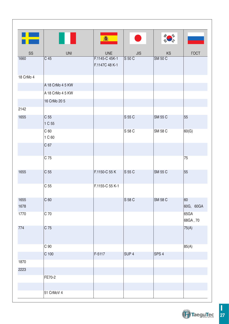|              |                           | 馫                                |                   |                  |                  |
|--------------|---------------------------|----------------------------------|-------------------|------------------|------------------|
| SS           | <b>UNI</b>                | <b>UNE</b>                       | JIS               | <b>KS</b>        | <b>TOCT</b>      |
| 1660         | C 45                      | F.1145-C 45K-1<br>F.1147C 48 K-1 | $S$ 50 $C$        | <b>SM 50 C</b>   |                  |
| 18 CrMo 4    |                           |                                  |                   |                  |                  |
|              | A 18 CrMo 4 5 KW          |                                  |                   |                  |                  |
|              | A 18 CrMo 4 5 KW          |                                  |                   |                  |                  |
|              | 16 CrMo 20 5              |                                  |                   |                  |                  |
| 2142         |                           |                                  |                   |                  |                  |
| 1655         | C <sub>55</sub><br>1 C 55 |                                  | S 55 C            | <b>SM 55 C</b>   | 55               |
|              | C <sub>60</sub><br>1 C 60 |                                  | S 58 C            | <b>SM 58 C</b>   | 60(G)            |
|              | C 67                      |                                  |                   |                  |                  |
|              | C 75                      |                                  |                   |                  | 75               |
| 1655         | C <sub>55</sub>           | F.1150-C 55 K                    | S <sub>55</sub> C | <b>SM 55 C</b>   | 55               |
|              | C <sub>55</sub>           | F.1155-C 55 K-1                  |                   |                  |                  |
| 1655<br>1678 | $C_{60}$                  |                                  | S 58 C            | <b>SM 58 C</b>   | 60<br>60G, 60GA  |
| 1770         | C <sub>70</sub>           |                                  |                   |                  | 65GA<br>68GA, 70 |
| 774          | $C$ 75                    |                                  |                   |                  | 75(A)            |
|              | C <sub>90</sub>           |                                  |                   |                  | 85(A)            |
|              | C 100                     | F-5117                           | SUP <sub>4</sub>  | SPS <sub>4</sub> |                  |
| 1870         |                           |                                  |                   |                  |                  |
| 2223         |                           |                                  |                   |                  |                  |
|              | FE70-2                    |                                  |                   |                  |                  |
|              |                           |                                  |                   |                  |                  |
|              | 51 CrMoV 4                |                                  |                   |                  |                  |

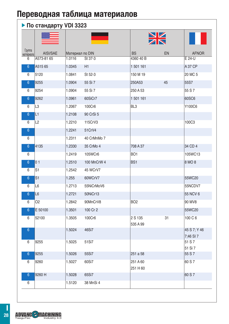### $\blacktriangleright$  По стандарту VDI 3323

|                     | .              |                 |             |                      |    |                           |
|---------------------|----------------|-----------------|-------------|----------------------|----|---------------------------|
| Группа<br>материала | AISI/SAE       | Материал по DIN |             | <b>BS</b>            | EN | <b>AFNOR</b>              |
| 6                   | A573-81 65     | 1.0116          | St 37-3     | 4360 40 B            |    | E 24-U                    |
| $6\phantom{a}$      | A515 65        | 1.0345          | H1          | 1 501 161            |    | A 37 CP                   |
| 6                   | 5120           | 1.0841          | St 52-3     | 150 M 19             |    | 20 MC 5                   |
| $6\phantom{a}$      | 9255           | 1.0904          | 55 Si 7     | 250A53               | 45 | 55S7                      |
| 6                   | 9254           | 1.0904          | 55 Si 7     | 250 A 53             |    | 55 S 7                    |
| $6\phantom{a}$      | 9262           | 1.0961          | 60SiCr7     | 1 501 161            |    | 60SC6                     |
| 6                   | L3             | 1.2067          | 100Cr6      | BL <sub>3</sub>      |    | Y100C6                    |
| $6\phantom{1}$      | L1             | 1.2108          | 90 CrSi 5   |                      |    |                           |
| 6                   | L2             | 1.2210          | 115CrV3     |                      |    | 100C3                     |
| $6\phantom{1}6$     |                | 1.2241          | 51CrV4      |                      |    |                           |
| 6                   |                | 1.2311          | 40 CrMnMo 7 |                      |    |                           |
| $6\phantom{1}$      | 4135           | 1.2330          | 35 CrMo 4   | 708 A 37             |    | 34 CD 4                   |
| 6                   |                | 1.2419          | 105WCr6     | BO <sub>1</sub>      |    | 105WC13                   |
| $6\phantom{1}$      | 0 <sub>1</sub> | 1.2510          | 100 MnCrW 4 | BS1                  |    | 8 MO 8                    |
| 6                   | S <sub>1</sub> | 1.2542          | 45 WCrV7    |                      |    |                           |
| $6\phantom{1}$      | S <sub>1</sub> | 1.255           | 60WCrV7     |                      |    | 55WC20                    |
| 6                   | L <sub>6</sub> | 1.2713          | 55NiCrMoV6  |                      |    | 55NCDV7                   |
| $6\phantom{1}$      | L <sub>6</sub> | 1.2721          | 50NiCr13    |                      |    | 55 NCV 6                  |
| 6                   | O <sub>2</sub> | 1.2842          | 90MnCrV8    | <b>BO2</b>           |    | 90 MV8                    |
| $6\overline{6}$     | E 50100        | 1.3501          | 100 Cr 2    |                      |    | 55WC20                    |
| 6                   | 52100          | 1.3505          | 100Cr6      | 2 S 135<br>535 A 99  | 31 | 100 C 6                   |
| $6\phantom{1}$      |                | 1.5024          | 46Si7       |                      |    | 45 S 7; Y 46<br>7;46 SI 7 |
| 6                   | 9255           | 1.5025          | 51Si7       |                      |    | 51 S 7<br>51 Si 7         |
| $6\phantom{1}$      | 9255           | 1.5026          | 55Si7       | 251 a 58             |    | 55 S 7                    |
| 6                   | 9260           | 1.5027          | 60Si7       | 251 A 60<br>251 H 60 |    | 60 S 7                    |
| 6                   | 9260 H         | 1.5028          | 65Si7       |                      |    | 60 S 7                    |
| 6                   |                | 1.5120          | 38 MnSi 4   |                      |    |                           |

П

 $28$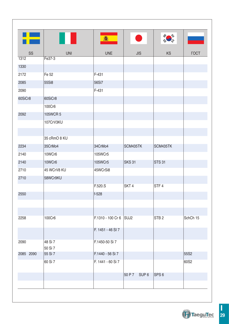|           |              | 馫                      |                  |                  |             |
|-----------|--------------|------------------------|------------------|------------------|-------------|
| SS        | <b>UNI</b>   | <b>UNE</b>             | <b>JIS</b>       | <b>KS</b>        | <b>TOCT</b> |
| 1312      | Fe37-3       |                        |                  |                  |             |
| 1330      |              |                        |                  |                  |             |
| 2172      | Fe 52        | $F-431$                |                  |                  |             |
| 2085      | 55Si8        | 56Si7                  |                  |                  |             |
| 2090      |              | F-431                  |                  |                  |             |
| 60SiCr8   | 60SiCr8      |                        |                  |                  |             |
|           | 100Cr6       |                        |                  |                  |             |
| 2092      | 105WCR 5     |                        |                  |                  |             |
|           | 107CrV3KU    |                        |                  |                  |             |
|           |              |                        |                  |                  |             |
|           | 35 cRmO 8 KU |                        |                  |                  |             |
| 2234      | 35CrMo4      | 34CrMo4                | SCM435TK         | SCM435TK         |             |
| 2140      | 10WCr6       | 105WCr5                |                  |                  |             |
| 2140      | 10WCr6       | 105WCr5                | <b>SKS 31</b>    | <b>STS 31</b>    |             |
| 2710      | 45 WCrV8 KU  | 45WCrSi8               |                  |                  |             |
| 2710      | 58WCr9KU     |                        |                  |                  |             |
|           |              | F.520.S                | SKT <sub>4</sub> | STF <sub>4</sub> |             |
| 2550      |              | f-528                  |                  |                  |             |
|           |              |                        |                  |                  |             |
|           |              |                        |                  |                  |             |
| 2258      | 100Cr6       | F.1310 - 100 Cr 6 SUJ2 |                  | STB <sub>2</sub> | SchCh 15    |
|           |              |                        |                  |                  |             |
|           |              | F. 1451 - 46 SI 7      |                  |                  |             |
| 2090      | 48 Si 7      | F.1450-50 Si 7         |                  |                  |             |
|           | 50 Si 7      |                        |                  |                  |             |
| 2085 2090 | 55 Si 7      | F.1440 - 56 Si 7       |                  |                  | 55S2        |
|           | 60 Si 7      | F. 1441 - 60 Si 7      |                  |                  | 60S2        |
|           |              |                        |                  | SPS <sub>6</sub> |             |
|           |              |                        | 50 P 7 SUP 6     |                  |             |
|           |              |                        |                  |                  |             |

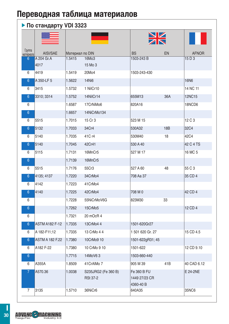### **По стандарту VDI 3323**

|                     |                        |                 |                                        |                                           | $\frac{\sum\limits_{k}}{k}$ |               |
|---------------------|------------------------|-----------------|----------------------------------------|-------------------------------------------|-----------------------------|---------------|
| Группа<br>материала | AISI/SAE               | Материал по DIN |                                        | <b>BS</b>                                 | EN                          | <b>AFNOR</b>  |
| $6\phantom{1}$      | A 204 Gr.A             | 1.5415          | 16Mo3                                  | 1503-243 B                                |                             | 15 D 3        |
|                     | 4017                   |                 | 15 Mo 3                                |                                           |                             |               |
| 6                   | 4419                   | 1.5419          | 20Mo4                                  | 1503-243-430                              |                             |               |
| 6                   | A 350-LF 5             | 1.5622          | 14Ni6                                  |                                           |                             | 16N6          |
| 6                   | 3415                   | 1.5732          | 1 NilCr10                              |                                           |                             | 14 NC 11      |
| $6\phantom{a}$      | 3310; 3314             | 1.5752          | 14NilCr14                              | 655M13                                    | 36A                         | <b>12NC15</b> |
| 6                   |                        | 1.6587          | 17CrNiMo6                              | 820A16                                    |                             | 18NCD6        |
| $6\phantom{1}$      |                        | 1.6657          | 14NiCrMo134                            |                                           |                             |               |
| 6                   | 5515                   | 1.7015          | 15 Cr 3                                | 523 M 15                                  |                             | 12 C 3        |
| $6\phantom{1}$      | 5132                   | 1.7033          | 34Cr4                                  | 530A32                                    | <b>18B</b>                  | 32C4          |
| 6                   | 5140                   | 1.7035          | 41C r4                                 | 530M40                                    | 18                          | 42C4          |
| $6\phantom{1}$      | 5140                   | 1.7045          | 42Cr41                                 | 530 A 40                                  |                             | 42 C 4 TS     |
| 6                   | 5115                   | 1.7131          | 16MnCr5                                | 527 M 17                                  |                             | 16 MC 5       |
| $6\phantom{1}$      |                        | 1.7139          | 16MnCr5                                |                                           |                             |               |
| 6                   | 5515                   | 1.7176          | 55Cr3                                  | 527 A 60                                  | 48                          | 55 C 3        |
| 6                   | 4135; 4137             | 1.7220          | 34CrMo4                                | 708 Aa 37                                 |                             | 35 CD 4       |
| 6                   | 4142                   | 1.7223          | 41CrMo4                                |                                           |                             |               |
| 6                   | 4140                   | 1.7225          | 42CrMo4                                | 708 M 0                                   |                             | 42 CD 4       |
| 6                   |                        | 1.7228          | 55NiCrMoV6G                            | 823M30                                    | 33                          |               |
| $6\phantom{1}$      |                        | 1.7262          | 15CrMo5                                |                                           |                             | 12 CD 4       |
| 6                   |                        | 1.7321          | 20 mOcR 4                              |                                           |                             |               |
| $6\overline{6}$     | <b>ASTM A182 F-12</b>  | 1.7335          | 13CrMo4 4                              | 1501-620Gr27                              |                             |               |
| 6                   | A 182-F11;12           | 1.7335          | 13 CrMo 4 4                            | 1 501 620 Gr. 27                          |                             | 15 CD 4.5     |
| $6\phantom{1}$      | <b>ASTM A 182 F.22</b> | 1.7380          | 10CrMo9 10                             | 1501-622gR31; 45                          |                             |               |
| 6                   | A182 F-22              | 1.7380          | 10 CrMo 9 10                           | 1501-622                                  |                             | 12 CD 9.10    |
| $6\overline{6}$     |                        | 1.7715          | 14MoV63                                | 1503-660-440                              |                             |               |
| 6                   | A355A                  | 1.8509          | 41CrAlMo 7                             | 905 M 39                                  | 41B                         | 40 CAD 6.12   |
| 7                   | A570.36                | 1.0038          | S235JRG2 (Fe 360 B)<br><b>RSt 37-2</b> | Fe 360 B FU<br>1449 27/23 CR<br>4360-40 B |                             | E 24-2NE      |
| $\overline{7}$      | 3135                   | 1.5710          | 36NiCr6                                | 640A35                                    |                             | 35NC6         |

**ADVANC - MACHINING**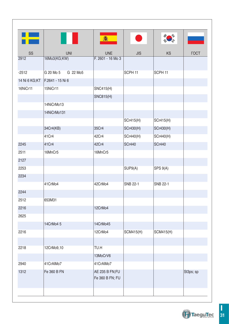| ▚▙<br>鑫<br><b>KS</b><br>SS<br><b>UNI</b><br><b>UNE</b><br><b>JIS</b><br>16Mo3(KG;KW)<br>F. 2601 - 16 Mo 3<br>2912<br>$-2512$<br>G 20 Mo 5<br>G 22 Mo5<br>SCPH <sub>11</sub><br>SCPH <sub>11</sub><br>F.2641 - 15 Ni 6<br>14 Ni 6 KG;KT<br>16NiCr11<br>15NiCr11<br><b>SNC415(H)</b><br><b>SNC815(H)</b><br>14NiCrMo13<br>14NiCrMo131<br><b>SCr415(H)</b><br>SCr415(H)<br>34Cr4(KB)<br>35Cr4<br><b>SCr430(H)</b><br><b>SCr430(H)</b><br>41 Cr4<br>42Cr4<br>SCr440(H)<br>SCr440(H)<br>2245<br>41 Cr4<br>42Cr4<br><b>SCr440</b><br><b>SCr440</b><br>2511<br>16MnCr5<br>16MnCr5<br>2127<br>2253<br>SUP9(A)<br>SPS 9(A)<br>2234<br>41CrMo4<br>42CrMo4<br>SNB 22-1<br>SNB 22-1<br>2244<br>2512<br>653M31<br>2216<br>12CrMo4 | <b>TOCT</b> |
|----------------------------------------------------------------------------------------------------------------------------------------------------------------------------------------------------------------------------------------------------------------------------------------------------------------------------------------------------------------------------------------------------------------------------------------------------------------------------------------------------------------------------------------------------------------------------------------------------------------------------------------------------------------------------------------------------------------------|-------------|
|                                                                                                                                                                                                                                                                                                                                                                                                                                                                                                                                                                                                                                                                                                                      |             |
|                                                                                                                                                                                                                                                                                                                                                                                                                                                                                                                                                                                                                                                                                                                      |             |
|                                                                                                                                                                                                                                                                                                                                                                                                                                                                                                                                                                                                                                                                                                                      |             |
|                                                                                                                                                                                                                                                                                                                                                                                                                                                                                                                                                                                                                                                                                                                      |             |
|                                                                                                                                                                                                                                                                                                                                                                                                                                                                                                                                                                                                                                                                                                                      |             |
|                                                                                                                                                                                                                                                                                                                                                                                                                                                                                                                                                                                                                                                                                                                      |             |
|                                                                                                                                                                                                                                                                                                                                                                                                                                                                                                                                                                                                                                                                                                                      |             |
|                                                                                                                                                                                                                                                                                                                                                                                                                                                                                                                                                                                                                                                                                                                      |             |
|                                                                                                                                                                                                                                                                                                                                                                                                                                                                                                                                                                                                                                                                                                                      |             |
|                                                                                                                                                                                                                                                                                                                                                                                                                                                                                                                                                                                                                                                                                                                      |             |
|                                                                                                                                                                                                                                                                                                                                                                                                                                                                                                                                                                                                                                                                                                                      |             |
|                                                                                                                                                                                                                                                                                                                                                                                                                                                                                                                                                                                                                                                                                                                      |             |
|                                                                                                                                                                                                                                                                                                                                                                                                                                                                                                                                                                                                                                                                                                                      |             |
|                                                                                                                                                                                                                                                                                                                                                                                                                                                                                                                                                                                                                                                                                                                      |             |
|                                                                                                                                                                                                                                                                                                                                                                                                                                                                                                                                                                                                                                                                                                                      |             |
|                                                                                                                                                                                                                                                                                                                                                                                                                                                                                                                                                                                                                                                                                                                      |             |
|                                                                                                                                                                                                                                                                                                                                                                                                                                                                                                                                                                                                                                                                                                                      |             |
|                                                                                                                                                                                                                                                                                                                                                                                                                                                                                                                                                                                                                                                                                                                      |             |
|                                                                                                                                                                                                                                                                                                                                                                                                                                                                                                                                                                                                                                                                                                                      |             |
|                                                                                                                                                                                                                                                                                                                                                                                                                                                                                                                                                                                                                                                                                                                      |             |
|                                                                                                                                                                                                                                                                                                                                                                                                                                                                                                                                                                                                                                                                                                                      |             |
| 2625                                                                                                                                                                                                                                                                                                                                                                                                                                                                                                                                                                                                                                                                                                                 |             |
| 14CrMo4 5<br>14CrMo45                                                                                                                                                                                                                                                                                                                                                                                                                                                                                                                                                                                                                                                                                                |             |
| 2216<br>12CrMo4<br><b>SCM415(H)</b><br><b>SCM415(H)</b>                                                                                                                                                                                                                                                                                                                                                                                                                                                                                                                                                                                                                                                              |             |
|                                                                                                                                                                                                                                                                                                                                                                                                                                                                                                                                                                                                                                                                                                                      |             |
| TU.H<br>2218<br>12CrMo9,10                                                                                                                                                                                                                                                                                                                                                                                                                                                                                                                                                                                                                                                                                           |             |
| 13MoCrV6                                                                                                                                                                                                                                                                                                                                                                                                                                                                                                                                                                                                                                                                                                             |             |
| 2940<br>41CrAlMo7<br>41CrAlMo7                                                                                                                                                                                                                                                                                                                                                                                                                                                                                                                                                                                                                                                                                       |             |
| AE 235 B FN;FU<br>1312<br>Fe 360 B FN<br>St3ps; sp<br>Fe 360 B FN; FU                                                                                                                                                                                                                                                                                                                                                                                                                                                                                                                                                                                                                                                |             |
|                                                                                                                                                                                                                                                                                                                                                                                                                                                                                                                                                                                                                                                                                                                      |             |

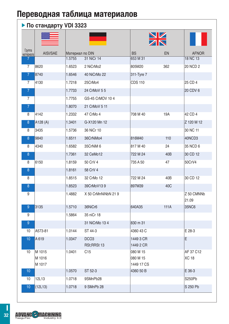#### **По стандарту VDI 3323**  $\frac{N}{N}$ Группа<br>материал материала AISI/SAE Материал по DIN BS EN AFNOR 7 1.5755 31 NiCr 14 653 M 31 18 NC 13 7 8620 1.6523 2 NiCrMo2 805M20 362 20 NCD 2 7 8740 1.6546 40 NiCrMo 22 311-Tyre 7 7 4130 1.7218 25CrMo4 CDS 110 25 CD 4 7 | 20 CDV 6 | 21.7733 24 CrMoV 5 5 | 20 CDV 7 | 20 CDV 6 7 1.7755 GS-45 CrMOV 10 4 7 1.8070 21 CrMoV 5 11 8 |4142 |1.2332 47 CrMo 4 | 708 M 40 19A | 42 CD 4 8 A128 (A) 2 | 1.3401 G-X120 Mn 12 | 2.8 | 2.8 | 2.120 M 12 8 3435 1.5736 36 NiCr 10 30 NC 11 8 9840 |1.6511 36CrNiMo4 | 816M40 | 110 | 40NCD3 8 4340 1.6582 35CrNiM 6 817 M 40 24 35 NCD 6 8 | 1.7361 32 CeMo12 | 22 M 24 40B 30 CD 12 8 |6150 |1.8159 50 CrV 4 |735 A 50 47 |50CrV4 8 1.8161 58 CrV 4 8 1.8515 32 CrMo 12 722 M 24 40B 30 CD 12 8 1.8523 39CrMoV13 9 897M39 40C 9 1.4882 X 50 CrMnNiNbN 21 9 Z 50 CMNNb 21.09 9 3135 1.5710 36NiCr6 640A35 111A 35NC6 9 | 1.5864 35 niCr 18 9 31 NiCrMo 13 4 830 m 31 10 |A573-81 |1.0144 ST 44-3 |4360 43 C | E 28-3 10 A 619 1.0347 DCO3 1449 3 CR E RSt;RRSt 13 1449 2 CR 10 M 1015 1.0401 C15 080 M 15 AF 37 C12 M 1016 080 M 15 XC 18 M 1017 1449 17 CS 10 | 1.0570 ST 52-3 | 4360 50 B | 536-3 10 |12L13 |1.0718 9SMnPb28 | | |S250Pb 10 (12L13) 10 (12L13) 10 (12L13) 10 (12L13) 10 (12L13) 10 (12L13) 10 (12L13) 10 (13L13) 10 (13L13) 10 (13L13) TaeguTec Industry 4.0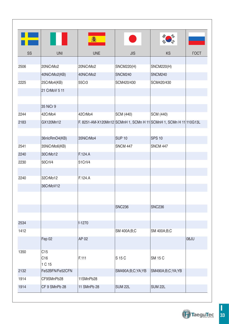

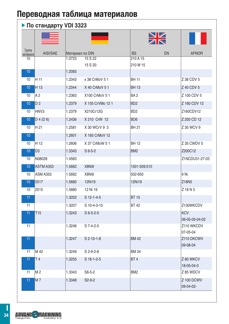### **По стандарту VDI 3323**

| Группа<br>материала | AISI/SAE         | Материал по DIN |                  | <b>BS</b><br>EN             | <b>AFNOR</b>           |
|---------------------|------------------|-----------------|------------------|-----------------------------|------------------------|
| 10                  |                  | 1.0723          | 15 S 22          | 210 A 15                    |                        |
| 10                  |                  | 1.2083          | 15 S 20          | 210 M 15                    |                        |
| 10                  | H 11             | 1.2343          | x 38 CrMoV 5 1   | <b>BH 11</b>                | Z 38 CDV 5             |
|                     |                  |                 |                  |                             |                        |
| 10 <sup>1</sup>     | H 13             | 1.2344          | X 40 CrMoV 5 1   | <b>BH13</b>                 | Z 40 CDV 5             |
| 10                  | A2               | 1.2363          | X100 CrMoV 51    | BA <sub>2</sub>             | Z 100 CDV 5            |
| 10                  | D <sub>2</sub>   | 1.2379          | X 155 CrVMo 12 1 | B <sub>D</sub> <sub>2</sub> | Z 160 CDV 12           |
| 10                  | HNV <sub>3</sub> | 1.2379          | X210Cr12G        | B <sub>D2</sub>             | Z160CDV12              |
| 10 <sup>°</sup>     | $D$ 4 (D 6)      | 1.2436          | X 210 CrW 12     | BD <sub>6</sub>             | Z 200 CD 12            |
| 10                  | H 21             | 1.2581          | X 30 WCrV 9 3    | <b>BH 21</b>                | Z 30 WCV 9             |
| 10                  |                  | 1.2601          | X 165 CrMoV 12   |                             |                        |
| 10                  | H <sub>12</sub>  | 1.2606          | X 37 CrMoW 5 1   | <b>BH12</b>                 | Z 35 CWDV 5            |
| 10                  | D <sub>3</sub>   | 1.3343          | $S6-5-2$         | BM <sub>2</sub>             | Z200C12                |
| 10                  | N08028           | 1.4563          |                  |                             | Z1NCDU31-27-03         |
| 10 <sup>1</sup>     | ASTM A353        | 1.5662          | X8Ni9            | 1501-509;510                |                        |
| 10                  | <b>ASM A353</b>  | 1.5662          | X8Ni9            | 502-650                     | 9 Ni                   |
| 10                  | 2517             | 1.5680          | 12Ni19           | 12Ni19                      | Z18N5                  |
| 10                  | 2515             | 1.5680          | 12 Ni 19         |                             | Z 18 N 5               |
| 11                  |                  | 1.3202          | $S$ 12-1-4-5     | <b>BT 15</b>                |                        |
| 11                  |                  | 1.3207          | S 10-4-3-10      | <b>BT42</b>                 | Z130WKCDV              |
| 11                  | T <sub>15</sub>  | 1.3243          | $S$ 6-5-2-5      |                             | <b>KCV</b>             |
|                     |                  |                 |                  |                             | 06-05-05-04-02         |
| 11                  |                  | 1.3246          | S 7-4-2-5        |                             | Z110 WKCDV             |
| 11 <sub>1</sub>     |                  | 1.3247          | $S$ 2-10-1-8     | <b>BM 42</b>                | 07-05-04<br>Z110 DKCWV |
|                     |                  |                 |                  |                             | 09-08-04               |
| 11                  | M 42             | 1.3249          | $S$ 2-9-2-8      | <b>BM 34</b>                |                        |
| 11                  | T4               | 1.3255          | $S$ 18-1-2-5     | BT <sub>4</sub>             | Z 80 WKCV              |
|                     |                  |                 |                  |                             | 18-05-04-0             |
| 11                  | M 2              | 1.3343          | $S6-5-2$         | BM <sub>2</sub>             | Z 85 WDCV              |
| 11                  | <b>M7</b>        | 1.3348          | $S2-9-2$         |                             | <b>Z 100 DCWV</b>      |
|                     |                  |                 |                  |                             | $09-04-02-$            |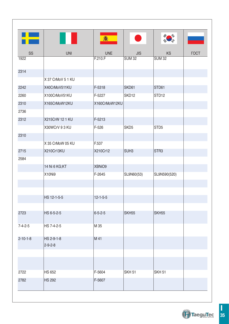|                  |                   | 翕                |                   |                   |             |
|------------------|-------------------|------------------|-------------------|-------------------|-------------|
| SS               | <b>UNI</b>        | <b>UNE</b>       | <b>JIS</b>        | <b>KS</b>         | <b>TOCT</b> |
| 1922             |                   | F.210.F          | <b>SUM 32</b>     | <b>SUM 32</b>     |             |
| 2314             |                   |                  |                   |                   |             |
|                  | X 37 CrMoV 5 1 KU |                  |                   |                   |             |
| 2242             | X40CrMoV511KU     | F-5318           | SKD61             | STD61             |             |
| 2260             | X100CrMoV51KU     | F-5227           | SKD <sub>12</sub> | STD <sub>12</sub> |             |
| 2310             | X165CrMoW12KU     | X160CrMoW12KU    |                   |                   |             |
| 2736             |                   |                  |                   |                   |             |
| 2312             | X215CrW 12 1 KU   | F-5213           |                   |                   |             |
|                  | X30WCrV 93 KU     | $F-526$          | SKD <sub>5</sub>  | STD <sub>5</sub>  |             |
| 2310             |                   |                  |                   |                   |             |
|                  | X 35 CrMoW 05 KU  | F.537            |                   |                   |             |
| 2715             | X210Cr13KU        | X210Cr12         | SUH <sub>3</sub>  | STR <sub>3</sub>  |             |
| 2584             |                   |                  |                   |                   |             |
|                  | 14 Ni 6 KG;KT     | XBNiO9           |                   |                   |             |
|                  | X10Ni9            | F-2645           | SL9N60(53)        | SL9N590(520)      |             |
|                  |                   |                  |                   |                   |             |
|                  |                   |                  |                   |                   |             |
|                  | HS 12-1-5-5       | $12 - 1 - 5 - 5$ |                   |                   |             |
|                  |                   |                  |                   |                   |             |
| 2723             | HS 6-5-2-5        | $6 - 5 - 2 - 5$  | SKH <sub>55</sub> | SKH <sub>55</sub> |             |
|                  |                   |                  |                   |                   |             |
| $7 - 4 - 2 - 5$  | HS 7-4-2-5        | M 35             |                   |                   |             |
| $2 - 10 - 1 - 8$ | HS 2-9-1-8        | M 41             |                   |                   |             |
|                  | $2 - 9 - 2 - 8$   |                  |                   |                   |             |
|                  |                   |                  |                   |                   |             |
|                  |                   |                  |                   |                   |             |
| 2722             | <b>HS 652</b>     | F-5604           | <b>SKH 51</b>     | SKH <sub>51</sub> |             |
| 2782             | <b>HS 292</b>     | F-5607           |                   |                   |             |
|                  |                   |                  |                   |                   |             |
|                  |                   |                  |                   |                   |             |

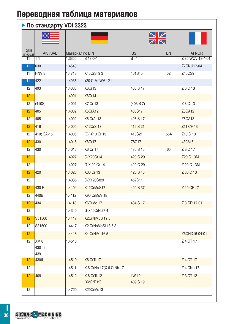#### **По стандарту VDI 3323**

|                     |                                  |                 |                         |                 | $\frac{N}{N}$ |                                 |
|---------------------|----------------------------------|-----------------|-------------------------|-----------------|---------------|---------------------------------|
| Группа<br>материала | AISI/SAE                         | Материал по DIN |                         | <b>BS</b>       | EN            | <b>AFNOR</b>                    |
| 11                  | T 1                              | 1.3355          | S 18-0-1                | BT <sub>1</sub> |               | Z 80 WCV 18-4-01                |
| 11                  | 630                              | 1.4548          |                         |                 |               | Z7CNU17-04                      |
| 11                  | HNV <sub>3</sub>                 | 1.4718          | X45CrSi 93              | 401S45          | 52            | Z45CS9                          |
| 11                  | 422                              | 1.4935          | x20 CrMoWV 12 1         |                 |               |                                 |
| 12                  | 403                              | 1.4000          | X6Cr13                  | 403 S 17        |               | Z 6 C 13                        |
| 12                  |                                  | 1.4001          | X6Cr14                  |                 |               |                                 |
| 12                  | (410S)                           | 1.4001          | X7 Cr 13                | (403 S 7)       |               | Z 8 C 13                        |
| 12                  | 405                              | 1.4002          | X6CrA12                 | 405S17          |               | <b>Z8CA12</b>                   |
| 12                  | 405                              | 1.4002          | X6 CrAI 13              | 405 S 17        |               | Z6CA13                          |
| 12                  | 416                              | 1.4005          | <b>X12CrS 13</b>        | 416 S 21        |               | Z11 CF 13                       |
| 12                  | 410; CA-15                       | 1.4006          | (G-)X10 Cr 13           | 410S21          | 56A           | Z <sub>10</sub> C <sub>13</sub> |
| 12                  | 430                              | 1.4016          | X8Cr17                  | Z8C17           |               | 430S15                          |
| 12                  | 430                              | 1.4016          | X6 Cr 17                | 430 S 15        | 60            | Z 8 C 17                        |
| 12                  |                                  | 1.4027          | G-X20Cr14               | 420 C 29        |               | Z20 C 13M                       |
| 12                  |                                  | 1.4027          | G-X 20 Cr 14            | 420 C 29        |               | Z 20 C 13M                      |
| 12                  | 420                              | 1.4028          | X30 Cr 13               | 420 S 45        |               | Z 30 C 13                       |
| 12                  |                                  | 1.4086          | G-X120Cr29              | 452C11          |               |                                 |
| 12                  | 430 F                            | 1.4104          | X12CrMoS17              | 420 S 37        |               | Z 10 CF 17                      |
| 12                  | 440B                             | 1.4112          | X90 CrMoV 18            |                 |               |                                 |
| 12                  | 434                              | 1.4113          | X6CrMo 17               | 434 S 17        |               | Z 8 CD 17.01                    |
| 12                  |                                  | 1.4340          | G-X40CrNi27 4           |                 |               |                                 |
| 12                  | S31500                           | 1.4417          | X2CrNiM0Si195           |                 |               |                                 |
| 12                  | S31500                           | 1.4417          | X2 CrNoMoSi 18 5 3      |                 |               |                                 |
| 12                  |                                  | 1.4418          | X4 CrNiMo16 5           |                 |               | Z6CND16-04-01                   |
| 12                  | XM <sub>8</sub><br>430 Ti<br>439 | 1.4510          |                         |                 |               | Z 4 CT 17                       |
| 12                  | 430tl                            | 1.4510          | X6 CrTi 17              |                 |               | Z 4 CT 17                       |
| 12                  |                                  | 1.4511          | X 6 CrNb 17(X 6 CrNb 17 |                 |               | Z 4 CNb 17                      |
| 12                  | 409                              | 1.4512          | X 6 CrTi 12             | <b>LW 19</b>    |               | Z 3 CT 12                       |
|                     |                                  |                 | (X2CrTi12)              | 409 S 19        |               |                                 |
| 12                  |                                  | 1.4720          | X20CrMo13               |                 |               |                                 |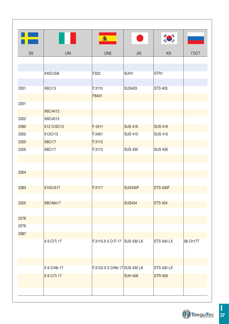| F    |                 | 鑫                             | $\bullet$        |                   |             |
|------|-----------------|-------------------------------|------------------|-------------------|-------------|
| SS   | <b>UNI</b>      | <b>UNE</b>                    | <b>JIS</b>       | KS                | <b>TOCT</b> |
|      |                 |                               |                  |                   |             |
|      |                 |                               |                  |                   |             |
|      | X45CrSi8        | F322                          | SUH <sub>1</sub> | STR <sub>1</sub>  |             |
| 2301 | X6Cr13          | F.3110                        | <b>SUS403</b>    | <b>STS 403</b>    |             |
|      |                 | F8401                         |                  |                   |             |
| 2301 |                 |                               |                  |                   |             |
|      | X6CrAI13        |                               |                  |                   |             |
| 2302 | X6CrAI13        |                               |                  |                   |             |
| 2380 | X12 CrSC13      | F-3411                        | <b>SUS 416</b>   | <b>SUS 416</b>    |             |
| 2302 | X12Cr13         | F.3401                        | <b>SUS 410</b>   | <b>SUS 410</b>    |             |
| 2320 | X8Cr17          | F.3113                        |                  |                   |             |
| 2320 | X8Cr17          | F.3113                        | <b>SUS 430</b>   | <b>SUS 430</b>    |             |
|      |                 |                               |                  |                   |             |
|      |                 |                               |                  |                   |             |
| 2304 |                 |                               |                  |                   |             |
|      |                 |                               |                  |                   |             |
| 2383 | <b>X10CrS17</b> | F.3117                        | <b>SUS430F</b>   | <b>STS 430F</b>   |             |
|      |                 |                               |                  |                   |             |
| 2325 | X8CrMo17        |                               | <b>SUS434</b>    | <b>STS 434</b>    |             |
|      |                 |                               |                  |                   |             |
| 2376 |                 |                               |                  |                   |             |
| 2376 |                 |                               |                  |                   |             |
| 2387 |                 |                               |                  |                   |             |
|      | X 6 CrTi 17     | F.3115-X 5 CrTi 17 SUS 430 LK |                  | <b>STS 430 LX</b> | 08 Ch17T    |
|      |                 |                               |                  |                   |             |
|      |                 |                               |                  |                   |             |
|      | X 6 CrNb 17     | F.3122-X 5 CrNb 17 SUS 430 LK |                  | <b>STS 430 LX</b> |             |
|      | X 6 CrTi 17     |                               | <b>SUH 409</b>   | <b>STR 409</b>    |             |
|      |                 |                               |                  |                   |             |
|      |                 |                               |                  |                   |             |

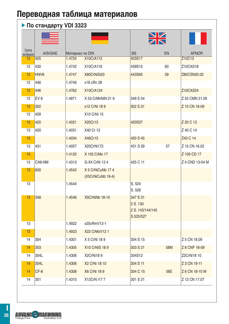#### **По стандарту VDI 3323**

| Группа<br>материала | AISI/SAE         | Материал по DIN |                                        | <b>BS</b>                                             | EN  | <b>AFNOR</b>    |
|---------------------|------------------|-----------------|----------------------------------------|-------------------------------------------------------|-----|-----------------|
| 12                  | 405              | 1.4724          | X10CrA113                              | 403S17                                                |     | Z10C13          |
| 12                  | 430              | 1.4742          | X10CrA118                              | 439S15                                                | 60  | Z10CAS18        |
| 12                  | HNV <sub>6</sub> | 1.4747          | X80CrNiSi20                            | 443S65                                                | 59  | Z80CSN20.02     |
| 12                  | 446              | 1.4749          | x18 cRn 28                             |                                                       |     |                 |
| 12                  | 446              | 1.4762          | X10CrA124                              |                                                       |     | Z10CAS24        |
| 12                  | EV <sub>8</sub>  | 1.4871          | X 53 CrMnNiN 21 9                      | 349 S 54                                              |     | Z 52 CMN 21.09  |
| 12                  | 302              |                 | x12 CrNi 189                           | 302 S 31                                              |     | Z 10 CN 18-09   |
| 12                  | 429              |                 | X10 CrNi 15                            |                                                       |     |                 |
| 13                  | 420              | 1.4021          | X20Cr13                                | 420S37                                                |     | Z 20 C 13       |
| 13                  | 420              | 1.4031          | X40 Cr 13                              |                                                       |     | Z 40 C 14       |
| 13                  |                  | 1.4034          | X46Cr13                                | 420 S 45                                              |     | Z40 C 14        |
| 13                  | 431              | 1.4057          | X20CrNi172                             | 431 S 29                                              | 57  | Z 15 CN 16.02   |
| 13                  |                  | 1.4125          | X 105 CrMo 17                          |                                                       |     | Z 100 CD 17     |
| 13                  | CA6-NM           | 1.4313          | G-X4 CrNi 13 4                         | 425 C 11                                              |     | Z 4 CND 13-04 M |
| 13                  | 630              | 1.4542          | X 5 CrNiCuNb 17 4<br>(X5CrNiCuNb 16-4) |                                                       |     |                 |
| 13                  |                  | 1.4544          |                                        | S. 524<br>S. 526                                      |     |                 |
| 13                  | 348              | 1.4546          | X5CrNiNb 18-10                         | 347 S 31<br>2 S. 130<br>2 S. 143/144/145<br>S.525/527 |     |                 |
| 13                  |                  | 1.4922          | x20cRmV12-1                            |                                                       |     |                 |
| 13                  |                  | 1.4923          | X22 CrMoV12 1                          |                                                       |     |                 |
| 14                  | 304              | 1.4301          | X 5 CrNi 189                           | 304 S 15                                              |     | Z 5 CN 18.09    |
| 14                  | 303              | 1.4305          | X10 CrNiS 189                          | 303 S 21                                              | 58M | Z 8 CNF 18-09   |
| 14                  | 304L             | 1.4306          | X2CrNi189                              | 304S12                                                |     | Z2CrNi18 10     |
| 14                  | 304L             | 1.4306          | X2 CrNi 18 10                          | 304 S 11                                              |     | Z 3 CN 19-11    |
| 14                  | $CF-8$           | 1.4308          | X6 CrNi 189                            | 304 C 15                                              | 58E | Z 6 CN 18-10 M  |
| 14                  | 301              | 1.4310          | X12CrN i177                            | 301 S 21                                              |     | Z 12 CN 17.07   |

TaeguTec Industry 4.0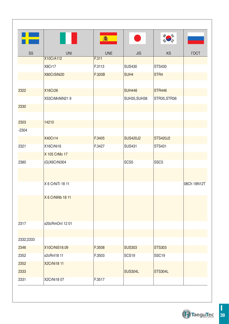| H         |                  | <b>3</b>   |                   |                   |             |
|-----------|------------------|------------|-------------------|-------------------|-------------|
| SS        | <b>UNI</b>       | <b>UNE</b> | <b>JIS</b>        | <b>KS</b>         | <b>FOCT</b> |
|           | X10CrA112        | F.311      |                   |                   |             |
|           | X8Cr17           | F.3113     | <b>SUS430</b>     | STS430            |             |
|           | X80CrSiNi20      | F.320B     | SUH <sub>4</sub>  | STR4              |             |
| 2322      | X16Cr26          |            | <b>SUH446</b>     | <b>STR446</b>     |             |
|           | X53CrMnNiN219    |            | SUH35, SUH36      | STR35, STR36      |             |
| 2330      |                  |            |                   |                   |             |
|           |                  |            |                   |                   |             |
| 2303      | 14210            |            |                   |                   |             |
| $-2304$   |                  |            |                   |                   |             |
|           | X40Cr14          | F.3405     | <b>SUS420J2</b>   | <b>STS420J2</b>   |             |
| 2321      | X16CrNi16        | F.3427     | <b>SUS431</b>     | STS431            |             |
|           | X 105 CrMo 17    |            |                   |                   |             |
| 2385      | (G)X6CrNi304     |            | SCS <sub>5</sub>  | SSC <sub>5</sub>  |             |
|           |                  |            |                   |                   |             |
|           | X 6 CrNiTi 18 11 |            |                   |                   | 08Ch 18N12T |
|           | X 6 CrNiNb 18 11 |            |                   |                   |             |
|           |                  |            |                   |                   |             |
| 2317      | x20cRmOnl 12 01  |            |                   |                   |             |
|           |                  |            |                   |                   |             |
| 2332;2333 |                  |            |                   |                   |             |
| 2346      | X10CrNiS18.09    | F.3508     | <b>SUS303</b>     | <b>STS303</b>     |             |
| 2352      | x2cRnI18 11      | F.3503     | SCS <sub>19</sub> | SSC <sub>19</sub> |             |
| 2352      | X2CrNi18 11      |            |                   |                   |             |
| 2333      |                  |            | <b>SUS304L</b>    | STS304L           |             |
| 2331      | X2CrNi18 07      | F.3517     |                   |                   |             |

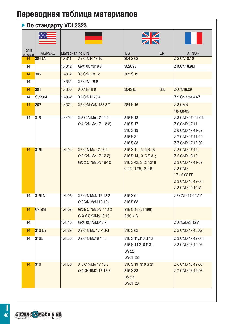### **По стандарту VDI 3323**

|                     |          |        |                                                                | $\frac{\sum\limits_{k}}{k}$                                                            |     |                                                                                                                                |
|---------------------|----------|--------|----------------------------------------------------------------|----------------------------------------------------------------------------------------|-----|--------------------------------------------------------------------------------------------------------------------------------|
| Группа<br>материала | AISI/SAE |        | Материал по DIN                                                | <b>BS</b>                                                                              | EN  | <b>AFNOR</b>                                                                                                                   |
| 14                  | 304 LN   | 1.4311 | <b>X2 CrNiN 18 10</b>                                          | 304 S 62                                                                               |     | Z 2 CN18.10                                                                                                                    |
| 14                  |          | 1.4312 | G-X10CrNi188                                                   | 302C25                                                                                 |     | Z10CN18.9M                                                                                                                     |
| 14                  | 305      | 1.4312 | X8 CrNi 18 12                                                  | 305 S 19                                                                               |     |                                                                                                                                |
| 14                  |          | 1.4332 | X2 CrNi 18-8                                                   |                                                                                        |     |                                                                                                                                |
| 14                  | 304      | 1.4350 | X5CrNi189                                                      | 304S15                                                                                 | 58E | Z6CN18.09                                                                                                                      |
| 14                  | S32304   | 1.4362 | <b>X2 CrNiN 23 4</b>                                           |                                                                                        |     | Z 2 CN 23-04 AZ                                                                                                                |
| 14                  | 202      | 1.4371 | X3 CrMnNiN 188 8 7                                             | 284 S 16                                                                               |     | Z 8 CMN<br>18-08-05                                                                                                            |
| 14                  | 316      | 1.4401 | X 5 CrNiMo 17 12 2<br>(X4 CrNiMo 17 -12-2)                     | 316 S 13<br>316 S 17<br>316 S 19<br>316 S 31<br>316 S 33                               |     | Z 3 CND 17 -11-01<br>Z 6 CND 17-11<br>Z 6 CND 17-11-02<br>Z 7 CND 17-11-02<br>Z 7 CND 17-12-02                                 |
| 14                  | 316L     | 1.4404 | X2 CrNiMo 17 13 2<br>(X2 CrNiMo 17-12-2)<br>GX 2 CrNiMoN 18-10 | 316 S 11, 316 S 13<br>316 S 14, 316 S 31;<br>316 S 42, S.537;316<br>C 12, T.75, S. 161 |     | Z 2 CND 17-12<br>Z 2 CND 18-13<br>Z 3 CND 17-11-02<br>Z <sub>3</sub> CND<br>17-12-02 FF<br>Z 3 CND 18-12-03<br>Z 3 CND 19.10 M |
| 14                  | 316LN    | 1.4406 | X2 CrNiMoN 17 12 2<br>(X2CrNiMoN 18-10)                        | 316 S 61<br>316 S 63                                                                   |     | Z2 CND 17-12 AZ                                                                                                                |
| 14                  | CF-8M    | 1.4408 | GX 5 CrNiMoN 7 12 2<br>G-X 6 CrNiMo 18 10                      | 316 C 16 (LT 196)<br>ANC <sub>4</sub> B                                                |     |                                                                                                                                |
| 14                  |          | 1.4410 | G-X10CrNiMo189                                                 |                                                                                        |     | Z5CNaD20.12M                                                                                                                   |
| 14                  | 316 Ln   | 1.4429 | X2 CrNiMo 17 -13-3                                             | 316 S 62                                                                               |     | Z 2 CND 17-13 Az                                                                                                               |
| 14                  | 316L     | 1.4435 | X2 CrNiMo18 14 3                                               | 316 S 11:316 S 13<br>316 S 14;316 S 31<br>LW 22<br>LWCF <sub>22</sub>                  |     | Z 3 CND 17-12-03<br>Z 3 CND 18-14-03                                                                                           |
| 14                  | 316      | 1.4436 | X 5 CrNiMo 17 13 3<br>(X4CRNIMO 17-13-3)                       | 316 S 19; 316 S 31<br>316 S 33<br><b>LW 23</b><br>LWCF <sub>23</sub>                   |     | Z 6 CND 18-12-03<br>Z 7 CND 18-12-03                                                                                           |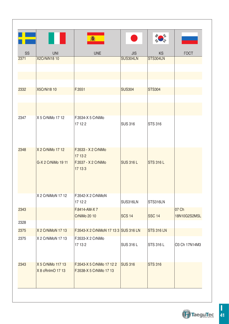|      |                    | 編                                     |                  |                   |               |
|------|--------------------|---------------------------------------|------------------|-------------------|---------------|
| SS   | <b>UNI</b>         | <b>UNE</b>                            | <b>JIS</b>       | <b>KS</b>         | <b>TOCT</b>   |
| 2371 | X2CrNiN1810        |                                       | SUS304LN         | STS304LN          |               |
|      |                    |                                       |                  |                   |               |
|      |                    |                                       |                  |                   |               |
|      |                    |                                       |                  |                   |               |
| 2332 | <b>X5CrNi18 10</b> | F.3551                                | <b>SUS304</b>    | <b>STS304</b>     |               |
|      |                    |                                       |                  |                   |               |
|      |                    |                                       |                  |                   |               |
|      |                    |                                       |                  |                   |               |
| 2347 | X 5 CrNiMo 17 12   | F.3534-X 5 CrNiMo<br>17122            | <b>SUS 316</b>   | <b>STS 316</b>    |               |
|      |                    |                                       |                  |                   |               |
|      |                    |                                       |                  |                   |               |
|      |                    |                                       |                  |                   |               |
| 2348 | X 2 CrNiMo 17 12   | F.3533 - X 2 CrNiMo<br>17 13 2        |                  |                   |               |
|      | G-X 2 CrNiMo 19 11 | F.3537 - X 2 CrNiMo                   | <b>SUS 316 L</b> | <b>STS 316 L</b>  |               |
|      |                    | 17 13 3                               |                  |                   |               |
|      |                    |                                       |                  |                   |               |
|      |                    |                                       |                  |                   |               |
|      |                    |                                       |                  |                   |               |
|      | X 2 CrNiMoN 17 12  | F.3542-X 2 CrNiMoN<br>17122           | SUS316LN         | STS316LN          |               |
| 2343 |                    | F.8414-AM-X7                          |                  |                   | 07 Ch         |
|      |                    | <b>CrNiMo 20 10</b>                   | <b>SCS 14</b>    | <b>SSC 14</b>     | 18N10G2S2MSL  |
| 2328 |                    |                                       |                  |                   |               |
| 2375 | X 2 CrNiMoN 17 13  | F.3543-X 2 CrNiMoN 17 13 3 SUS 316 LN |                  | <b>STS 316 LN</b> |               |
| 2375 | X 2 CrNiMoN 17 13  | F.3533-X 2 CrNiMo                     |                  |                   |               |
|      |                    | 17 13 2                               | <b>SUS 316 L</b> | <b>STS 316 L</b>  | O3 Ch 17N14M3 |
|      |                    |                                       |                  |                   |               |
| 2343 | X 5 CrNiMo 117 13  | F.3543-X 5 CrNiMo 17 12 2             | <b>SUS 316</b>   | <b>STS 316</b>    |               |
|      | X 8 cRnlmO 17 13   | F.3538-X 5 CrNiMo 17 13               |                  |                   |               |
|      |                    |                                       |                  |                   |               |
|      |                    |                                       |                  |                   |               |

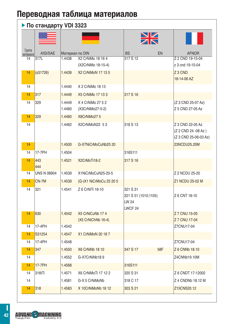### **По стандарту VDI 3323**

|                     |                    |                  |                                         | $\frac{\sum\limits_{k}}{2}$                                     |     |                                                                  |
|---------------------|--------------------|------------------|-----------------------------------------|-----------------------------------------------------------------|-----|------------------------------------------------------------------|
| Группа<br>материала | AISI/SAE           | Материал по DIN  |                                         | <b>BS</b>                                                       | EN  | <b>AFNOR</b>                                                     |
| 14                  | 317L               | 1.4438           | X2 CrNiMo 18 16 4<br>(X2CrNiMo 18-15-4) | 317 S 12                                                        |     | Z 2 CND 19-15-04<br>z 3 cnd 19-15-04                             |
| 14                  | (s31726)           | 1.4439           | X2 CrNiMoN 17 13 5                      |                                                                 |     | Z <sub>3</sub> CND<br>18-14-06 AZ                                |
| 14                  |                    | 1.4440           | X 2 CrNiMo 18 13                        |                                                                 |     |                                                                  |
| 14                  | 317                | 1.4449           | X5 CrNiMo 17 13 3                       | 317 S 16                                                        |     |                                                                  |
| 14                  | 329                | 1.4449<br>1.4460 | X 4 CrNiMo 27 5 2<br>(X3CrNiMo27-5-2)   |                                                                 |     | (Z 3 CND 25-07 Az)<br>Z 5 CND 27-05 Az                           |
| 14                  | 329                | 1.4460           | X8CrNiMo275                             |                                                                 |     |                                                                  |
| 14                  |                    | 1.4462           | X2CrNiMoN22 53                          | 318 S 13                                                        |     | Z 3 CND 22-05 Az<br>(Z 2 CND 24 -08 Az)<br>(Z 3 CND 25-06-03 Az) |
| 14                  |                    | 1.4500           | G-X7NiCrMoCuNb25 20                     |                                                                 |     | 23NCDU25.20M                                                     |
| 14                  | 17-7PH             | 1.4504           |                                         | 316S111                                                         |     |                                                                  |
| 14                  | 443<br>444         | 1.4521           | X2CrMoTi18-2                            | 317 S 16                                                        |     |                                                                  |
| 14                  | <b>UNS N 08904</b> | 1.4539           | X1NiCrMoCuN25-20-5                      |                                                                 |     | Z 2 NCDU 25-20                                                   |
| 14                  | CN-7M              | 1.4539           | (G-)X1 NiCrMoCu 25 20 5                 |                                                                 |     | Z1 NCDU 25-02 M                                                  |
| 14                  | 321                | 1.4541           | Z 6 CrNiTi 18-10                        | 321 S 31<br>321 S 51 (1010;1105)<br>LW 24<br>LWCF <sub>24</sub> |     | Z 6 CNT 18-10                                                    |
| 14                  | 630                | 1.4542           | X5 CrNiCuNb 174<br>(X5 CrNiChNb 16-4)   |                                                                 |     | Z 7 CNU 15-05<br>Z 7 CNU 17-04                                   |
| 14                  | 17-4PH             | 1.4542           |                                         |                                                                 |     | Z7CNU17-04                                                       |
| 14                  | S31254             | 1.4547           | X1 CrNiMoN 20 18 7                      |                                                                 |     |                                                                  |
| 14                  | 17-4PH             | 1.4548           |                                         |                                                                 |     | Z7CNU17-04                                                       |
| 14                  | 347                | 1.4550           | <b>X6 CrNiNb 18 10</b>                  | 347 S 17                                                        | 58F | Z 6 CNNb 18.10                                                   |
| 14                  |                    | 1.4552           | G-X7CrNiNb189                           |                                                                 |     | Z4CNNb19.10M                                                     |
| 14                  | <b>17-7PH</b>      | 1.4568           |                                         | 316S111                                                         |     |                                                                  |
| 14                  | 316tTi             | 1.4571           | X6 CrNiMoTi 17 12 2                     | 320 S 31                                                        |     | Z 6 CNDT 17-12002                                                |
| 14                  |                    | 1.4581           | G-X 5 CrNiMoNb                          | 318 C 17                                                        |     | Z 4 CNDNb 18.12 M                                                |
| 14                  | 318                | 1.4583           | X 10CrNiMoNb 18 12                      | 303 S 21                                                        |     | Z15CNS20.12                                                      |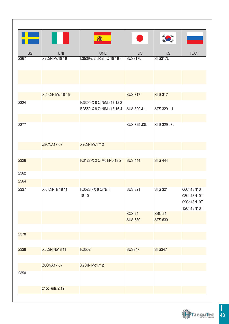| ÷<br>SS<br><b>UNE</b><br><b>KS</b><br><b>TOCT</b><br><b>UNI</b><br><b>JIS</b><br>X2CrNiMo18 16<br><b>SUS317L</b><br><b>STS317L</b><br>f.3539-x 2 cRnImO 18 16 4<br>2367<br>X 5 CrNiMo 18 15<br><b>SUS 317</b><br><b>STS 317</b><br>F.3309-X 8 CrNiMo 17 12 2<br>2324<br>F.3552-X 8 CrNiMo 18 16 4<br>SUS 329 J 1<br>STS 329 J 1<br>2377<br><b>SUS 329 J3L</b><br>STS 329 J3L<br>Z8CNA17-07<br>X2CrNiMo1712<br><b>STS 444</b><br>2326<br>F.3123-X 2 CrMoTiNb 18 2<br><b>SUS 444</b><br>2562<br>2564<br>X 6 CrNiTi 18 11<br>F.3523 - X 6 CrNiTi<br><b>STS 321</b><br>2337<br><b>SUS 321</b><br>06Ch18N10T<br>18 10<br>08Ch18N10T<br>09Ch18N10T<br>12Ch18N10T<br><b>SSC 24</b><br><b>SCS 24</b><br><b>SUS 630</b><br><b>STS 630</b><br>2378<br>X6CrNiNb18 11<br>F.3552<br><b>SUS347</b><br><b>STS347</b><br>2338<br>Z8CNA17-07<br>X2CrNiMo1712<br>2350<br>x15cRnIsl2 12 |  |  |  |
|----------------------------------------------------------------------------------------------------------------------------------------------------------------------------------------------------------------------------------------------------------------------------------------------------------------------------------------------------------------------------------------------------------------------------------------------------------------------------------------------------------------------------------------------------------------------------------------------------------------------------------------------------------------------------------------------------------------------------------------------------------------------------------------------------------------------------------------------------------------------|--|--|--|
|                                                                                                                                                                                                                                                                                                                                                                                                                                                                                                                                                                                                                                                                                                                                                                                                                                                                      |  |  |  |
|                                                                                                                                                                                                                                                                                                                                                                                                                                                                                                                                                                                                                                                                                                                                                                                                                                                                      |  |  |  |
|                                                                                                                                                                                                                                                                                                                                                                                                                                                                                                                                                                                                                                                                                                                                                                                                                                                                      |  |  |  |
|                                                                                                                                                                                                                                                                                                                                                                                                                                                                                                                                                                                                                                                                                                                                                                                                                                                                      |  |  |  |
|                                                                                                                                                                                                                                                                                                                                                                                                                                                                                                                                                                                                                                                                                                                                                                                                                                                                      |  |  |  |
|                                                                                                                                                                                                                                                                                                                                                                                                                                                                                                                                                                                                                                                                                                                                                                                                                                                                      |  |  |  |
|                                                                                                                                                                                                                                                                                                                                                                                                                                                                                                                                                                                                                                                                                                                                                                                                                                                                      |  |  |  |
|                                                                                                                                                                                                                                                                                                                                                                                                                                                                                                                                                                                                                                                                                                                                                                                                                                                                      |  |  |  |
|                                                                                                                                                                                                                                                                                                                                                                                                                                                                                                                                                                                                                                                                                                                                                                                                                                                                      |  |  |  |
|                                                                                                                                                                                                                                                                                                                                                                                                                                                                                                                                                                                                                                                                                                                                                                                                                                                                      |  |  |  |
|                                                                                                                                                                                                                                                                                                                                                                                                                                                                                                                                                                                                                                                                                                                                                                                                                                                                      |  |  |  |
|                                                                                                                                                                                                                                                                                                                                                                                                                                                                                                                                                                                                                                                                                                                                                                                                                                                                      |  |  |  |
|                                                                                                                                                                                                                                                                                                                                                                                                                                                                                                                                                                                                                                                                                                                                                                                                                                                                      |  |  |  |
|                                                                                                                                                                                                                                                                                                                                                                                                                                                                                                                                                                                                                                                                                                                                                                                                                                                                      |  |  |  |
|                                                                                                                                                                                                                                                                                                                                                                                                                                                                                                                                                                                                                                                                                                                                                                                                                                                                      |  |  |  |
|                                                                                                                                                                                                                                                                                                                                                                                                                                                                                                                                                                                                                                                                                                                                                                                                                                                                      |  |  |  |
|                                                                                                                                                                                                                                                                                                                                                                                                                                                                                                                                                                                                                                                                                                                                                                                                                                                                      |  |  |  |
|                                                                                                                                                                                                                                                                                                                                                                                                                                                                                                                                                                                                                                                                                                                                                                                                                                                                      |  |  |  |
|                                                                                                                                                                                                                                                                                                                                                                                                                                                                                                                                                                                                                                                                                                                                                                                                                                                                      |  |  |  |

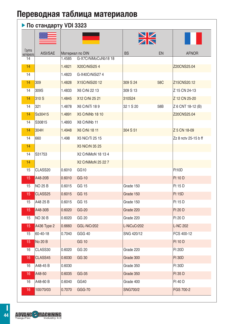### **По стандарту VDI 3323**

|                     |                |        |                       | $\frac{N}{N}$   |                 |                      |
|---------------------|----------------|--------|-----------------------|-----------------|-----------------|----------------------|
| Группа<br>материала | AISI/SAE       |        | Материал по DIN       | <b>BS</b>       | EN              | <b>AFNOR</b>         |
| 14                  |                | 1.4585 | G-X7CrNiMoCuNb18 18   |                 |                 |                      |
| 14                  |                | 1.4821 | X20CrNiSi254          |                 |                 | Z20CNS25.04          |
| 14                  |                | 1.4823 | G-X40CrNiSi274        |                 |                 |                      |
| 14                  | 309            | 1.4828 | X15CrNiSi20 12        | 309 S 24        | 58 <sub>C</sub> | Z15CNS20.12          |
| 14                  | 309S           | 1.4833 | X6 CrNi 22 13         | 309 S 13        |                 | Z 15 CN 24-13        |
| 14                  | 310 S          | 1.4845 | X12 CrNi 25 21        | 310S24          |                 | Z 12 CN 25-20        |
| 14                  | 321            | 1.4878 | X6 CrNiTi 189         | 32 1 S 20       | 58B             | Z 6 CNT 18-12 (B)    |
| 14                  | Ss30415        | 1.4891 | X5 CrNiNb 18 10       |                 |                 | Z20CNS25.04          |
| 14                  | S30815         | 1.4893 | X8 CrNiNb 11          |                 |                 |                      |
| 14                  | 304H           | 1.4948 | X6 CrNi 18 11         | 304 S 51        |                 | Z 5 CN 18-09         |
| 14                  | 660            | 1.498  | X5 NiCrTi 25 15       |                 |                 | Zz 8 nctv 25-15 b ff |
| 14                  |                |        | <b>X5 NiCrN 35 25</b> |                 |                 |                      |
| 14                  | S31753         |        | X2 CrNiMoN 18 13 4    |                 |                 |                      |
| 14                  |                |        | X2 CrNiMoN 25 22 7    |                 |                 |                      |
| 15                  | CLASS20        | 0.6010 | GG <sub>10</sub>      |                 |                 | Ft10D                |
| 15                  | A48-20B        | 0.6010 | GG-10                 |                 |                 | <b>Ft 10 D</b>       |
| 15                  | <b>NO 25 B</b> | 0.6015 | GG 15                 | Grade 150       |                 | Ft 15 D              |
| 15                  | CLASS25        | 0.6015 | GG 15                 | Grade 150       |                 | <b>Ft 15D</b>        |
| 15                  | A48 25 B       | 0.6015 | GG 15                 | Grade 150       |                 | Ft 15 D              |
| 15                  | A48-30B        | 0.6020 | GG-20                 | Grade 220       |                 | <b>Ft 20 D</b>       |
| 15                  | <b>NO 30 B</b> | 0.6020 | GG 20                 | Grade 220       |                 | Ft 20 D              |
| 15                  | A436 Type 2    | 0.6660 | GGL-NiCr202           | L-NiCuCr202     |                 | <b>L-NC 202</b>      |
| 15                  | 60-40-18       | 0.7040 | GGG 40                | SNG 420/12      |                 | FCS 400-12           |
| 15                  | No 20 B        |        | <b>GG 10</b>          |                 |                 | <b>Ft 10 D</b>       |
| 16                  | CLASS30        | 0.6020 | GG 20                 | Grade 220       |                 | <b>Ft 20D</b>        |
| 16                  | CLASS45        | 0.6030 | <b>GG 30</b>          | Grade 300       |                 | <b>Ft 30D</b>        |
| 16                  | A48-45 B       | 0.6030 |                       | Grade 350       |                 | <b>Ft 30D</b>        |
| 16                  | A48-50         | 0.6035 | GG-35                 | Grade 350       |                 | <b>Ft 35 D</b>       |
| 16                  | A48-60 B       | 0.6040 | GG40                  | Grade 400       |                 | Ft 40 D              |
| 16                  | 100/70/03      | 0.7070 | <b>GGG-70</b>         | <b>SNG700/2</b> |                 | FGS 700-2            |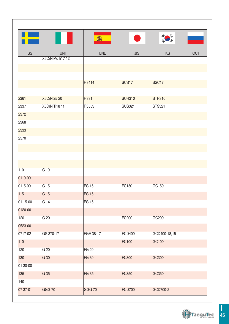

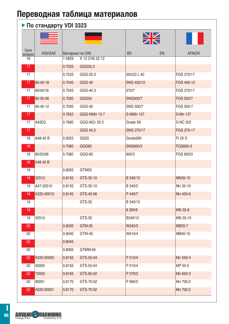### **По стандарту VDI 3323**

|                     |            |                  |                            | $\frac{\sum\limits_{k}}{2}$ |    |                  |
|---------------------|------------|------------------|----------------------------|-----------------------------|----|------------------|
| Группа<br>материала | AISI/SAE   | Материал по DIN  |                            | <b>BS</b>                   | EN | <b>AFNOR</b>     |
| 16                  |            | 1.4829<br>0.7033 | X 12 CrNi 22 12<br>GGG35.3 |                             |    |                  |
| 17<br>17            |            | 0.7033           | GGG-35.3                   | 350/22 L 40                 |    | FGS 370/17       |
| 17                  |            |                  | GGG-40                     | SNG 420/12                  |    |                  |
|                     | 60-40-18   | 0.7040           |                            |                             |    | FGS 400-12       |
| 17                  | 60/40/18   | 0.7043           | GGG-40.3                   | 370/7                       |    | FGS 370/17       |
| 17                  | 80-55-06   | 0.7050           | GGG50                      | SNG500/7                    |    | <b>FGS 500/7</b> |
| 17                  | 65-45-12   | 0.7050           | GGG-50                     | SNG 500/7                   |    | FGS 500-7        |
| 17                  |            | 0.7652           | GGG-NiMn 137               | S-NiMn 137                  |    | S-Mn 137         |
| 17                  | A43D2      | 0.7660           | GGG-NiCr 20 2              | Grade S6                    |    | S-NC 202         |
| 17                  |            |                  | GGG 40.3                   | SNG 370/17                  |    | FGS 370-17       |
| 18                  | A48-40 B   | 0.6025           | GG25                       | Grade260                    |    | Ft 25 D          |
| 18                  |            | 0.7060           | GGG60                      | SNG600/3                    |    | FGS600-3         |
| 18                  | 80/55/06   | 0.7060           | GGG-60                     | 600/3                       |    | FGS 600/3        |
| 18                  | A48 40 B   |                  |                            |                             |    |                  |
| 19                  |            | 0.8055           | GTW55                      |                             |    |                  |
| 19                  | 32510      | 0.8135           | GTS-35-10                  | B 340/12                    |    | MN35-10          |
| 19                  | A47-32510  | 0.8135           | GTS-35-10                  | B 340/2                     |    | Mn 35-10         |
| 19                  | A220-40010 | 0.8145           | GTS-45-06                  | P 440/7                     |    | Mn 450-6         |
| 19                  |            |                  | GTS-35                     | B 340/12                    |    |                  |
| 19                  |            |                  |                            | 8 290/6                     |    | MN 32-8          |
| 19                  | 32510      |                  | GTS-35                     | B340/12                     |    | MN 35-10         |
| 20                  |            | 0.8035           | GTM-35                     | W340/3                      |    | <b>MB35-7</b>    |
| 20                  |            | 0.8040           | GTW-40                     | W410/4                      |    | MB40-10          |
| 20                  |            | 0.8045           |                            |                             |    |                  |
| 20                  |            | 0.8065           | GTMW-65                    |                             |    |                  |
| 20                  | A220-50005 | 0.8155           | GTS-55-04                  | P 510/4                     |    | Mn 550-4         |
| 20                  | 50005      | 0.8155           | GTS-55-04                  | P 510/4                     |    | MP 50-5          |
| 20                  | 70003      | 0.8165           | GTS-65-02                  | P 570/3                     |    | Mn 650-3         |
| 20                  | 90001      | 0.8170           | GTS-70-02                  | P 690/2                     |    | Mn 700-2         |
| 20                  | A220-90001 | 0.8170           | GTS-70-02                  |                             |    | Mn 700-2         |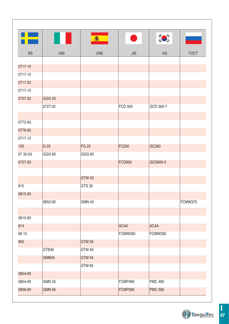| H        |               | 翕             |                |                |             |
|----------|---------------|---------------|----------------|----------------|-------------|
| SS       | <b>UNI</b>    | <b>UNE</b>    | <b>JIS</b>     | <b>KS</b>      | <b>TOCT</b> |
|          |               |               |                |                |             |
| 0717-15  |               |               |                |                |             |
| 0717-15  |               |               |                |                |             |
| 0717-02  |               |               |                |                |             |
| 0717-15  |               |               |                |                |             |
| 0727-02  | <b>GGG 50</b> |               |                |                |             |
|          | 0727-02       |               | <b>FCD 500</b> | GCD 500-7      |             |
|          |               |               |                |                |             |
| 0772-00  |               |               |                |                |             |
| 0776-00  |               |               |                |                |             |
| 0717-12  |               |               |                |                |             |
| 125      | G 25          | <b>FG 25</b>  | FC250          | GC250          |             |
| 07 32-03 | GGG 60        | GGG 60        |                |                |             |
| 0727-03  |               |               | <b>FCD600</b>  | GCD600-3       |             |
|          |               |               |                |                |             |
|          |               | <b>GTW 55</b> |                |                |             |
| 810      |               | <b>GTS 35</b> |                |                |             |
| 0815-00  |               |               |                |                |             |
|          | 0852-00       | <b>GMN 45</b> |                |                | FCMW370     |
|          |               |               |                |                |             |
| 0810-00  |               |               |                |                |             |
| 814      |               |               | AC4A           | AC4A           |             |
| 08 15    |               |               | FCMW330        | FCMW330        |             |
| 852      |               | <b>GTM 35</b> |                |                |             |
|          | GTB40         | GTM 40        |                |                |             |
|          | GMB45         | <b>GTM 45</b> |                |                |             |
|          |               | GTM 65        |                |                |             |
| 0854-00  |               |               |                |                |             |
| 0854-00  | <b>GMN 55</b> |               | FCMP490        | <b>PMC 490</b> |             |
| 0856-00  | <b>GMN 65</b> |               | <b>FCMP590</b> | <b>PMC 590</b> |             |
|          |               |               |                |                |             |

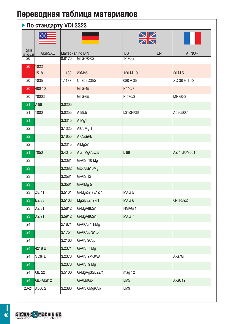|                     |              |        |                 | $\frac{N}{N}$     |    |                     |
|---------------------|--------------|--------|-----------------|-------------------|----|---------------------|
| Группа<br>материала | AISI/SAE     |        | Материал по DIN | <b>BS</b>         | EN | <b>AFNOR</b>        |
| $\overline{20}$     |              | 0.8170 | GTS-70-02       | IP 70-2           |    |                     |
| 20                  | 1022         |        |                 |                   |    |                     |
|                     | 1518         | 1.1133 | 20Mn5           | 120 M 19          |    | 20 M 5              |
| 20                  | 1035         | 1.1183 | Cf 35 (C35G)    | 080 A 35          |    | <b>XC 38 H 1 TS</b> |
| 20                  | 400 10       |        | <b>GTS-45</b>   | P440/7            |    |                     |
| 20                  | 70003        |        | GTS-65          | P 570/3           |    | MP 60-3             |
| 21                  | AI99         | 3.0205 |                 |                   |    |                     |
| 21                  | 1000         | 3.0255 | AI99.5          | L31/34/36         |    | A59050C             |
| 21                  |              | 3.3315 | AlMg1           |                   |    |                     |
| 22                  |              | 3.1325 | AlCuMg 1        |                   |    |                     |
| $\overline{22}$     |              | 3.1655 | <b>AICuSiPb</b> |                   |    |                     |
| 22                  |              | 3.2315 | AlMgSi1         |                   |    |                     |
| 21                  | 7050         | 3.4345 | AlZnMgCuO,5     | L 86              |    | AZ 4 GU/9051        |
| 23                  |              | 3.2381 | G-AISi 10 Mg    |                   |    |                     |
| 23                  |              | 3.2382 | GD-AISi10Mg     |                   |    |                     |
| 23                  |              | 3.2581 | G-AISi12        |                   |    |                     |
| 23                  |              | 3.3561 | G-AIMg 5        |                   |    |                     |
| 23                  | <b>ZE 41</b> | 3.5101 | G-MgZn4sE1Zr1   | MAG <sub>5</sub>  |    |                     |
| 23                  | EZ 33        | 3.5103 | MgSE3Zn27r1     | MAG <sub>6</sub>  |    | G-TR3Z2             |
| 23                  | AZ 81        | 3.5812 | G-MgAl8Zn1      | NMAG <sub>1</sub> |    |                     |
| 23                  | AZ 91        | 3.5912 | G-MgAl9Zn1      | MAG7              |    |                     |
| 24                  |              | 2.1871 | G-AICu 4 TiMg   |                   |    |                     |
| 24                  |              | 3.1754 | G-AICu5Ni1,5    |                   |    |                     |
| 24                  |              | 3.2163 | G-AISi9Cu3      |                   |    |                     |
| 24                  | 4218 B       | 3.2371 | G-AISi 7 Mg     |                   |    |                     |
| 24                  | SC64D        | 3.2373 | G-AISI9MGWA     |                   |    | A-S7G               |
| $\overline{24}$     |              | 3.2373 | G-AISi 9 Mg     |                   |    |                     |
| 24                  | QE 22        | 3.5106 | G-MgAg3SE2Zr1   | mag 12            |    |                     |
| $\overline{24}$     | GD-AISI12    |        | G-ALMG5         | LM <sub>5</sub>   |    | A-SU12              |
| 23-24               | A360.2       | 3.2383 | G-AISi0Mg(Cu)   | LM9               |    |                     |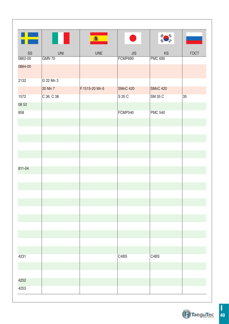| 鑫<br><b>UNE</b><br><b>SS</b><br><b>UNI</b><br>JIS<br><b>KS</b><br><b>TOCT</b><br>GMN 70<br>FCMP690<br><b>PMC 690</b><br>0862-00<br>0864-00<br>2132<br>G 22 Mn 3<br>20 Mn 7<br>F.1515-20 Mn 6<br><b>SMnC 420</b><br><b>SMnC 420</b><br>C 36; C 38<br>35<br>S 35 C<br>SM 35 C<br>1572<br>08 52<br>858<br>FCMP540<br><b>PMC 540</b><br>811-04<br>4231<br>C <sub>4</sub> BS<br>C <sub>4</sub> BS<br>4252<br>4253 |  |  |  |
|--------------------------------------------------------------------------------------------------------------------------------------------------------------------------------------------------------------------------------------------------------------------------------------------------------------------------------------------------------------------------------------------------------------|--|--|--|
|                                                                                                                                                                                                                                                                                                                                                                                                              |  |  |  |
|                                                                                                                                                                                                                                                                                                                                                                                                              |  |  |  |
|                                                                                                                                                                                                                                                                                                                                                                                                              |  |  |  |
|                                                                                                                                                                                                                                                                                                                                                                                                              |  |  |  |
|                                                                                                                                                                                                                                                                                                                                                                                                              |  |  |  |
|                                                                                                                                                                                                                                                                                                                                                                                                              |  |  |  |
|                                                                                                                                                                                                                                                                                                                                                                                                              |  |  |  |
|                                                                                                                                                                                                                                                                                                                                                                                                              |  |  |  |
|                                                                                                                                                                                                                                                                                                                                                                                                              |  |  |  |
|                                                                                                                                                                                                                                                                                                                                                                                                              |  |  |  |
|                                                                                                                                                                                                                                                                                                                                                                                                              |  |  |  |
|                                                                                                                                                                                                                                                                                                                                                                                                              |  |  |  |
|                                                                                                                                                                                                                                                                                                                                                                                                              |  |  |  |
|                                                                                                                                                                                                                                                                                                                                                                                                              |  |  |  |
|                                                                                                                                                                                                                                                                                                                                                                                                              |  |  |  |
|                                                                                                                                                                                                                                                                                                                                                                                                              |  |  |  |
|                                                                                                                                                                                                                                                                                                                                                                                                              |  |  |  |
|                                                                                                                                                                                                                                                                                                                                                                                                              |  |  |  |
|                                                                                                                                                                                                                                                                                                                                                                                                              |  |  |  |
|                                                                                                                                                                                                                                                                                                                                                                                                              |  |  |  |
|                                                                                                                                                                                                                                                                                                                                                                                                              |  |  |  |
|                                                                                                                                                                                                                                                                                                                                                                                                              |  |  |  |
|                                                                                                                                                                                                                                                                                                                                                                                                              |  |  |  |
|                                                                                                                                                                                                                                                                                                                                                                                                              |  |  |  |
|                                                                                                                                                                                                                                                                                                                                                                                                              |  |  |  |
|                                                                                                                                                                                                                                                                                                                                                                                                              |  |  |  |
|                                                                                                                                                                                                                                                                                                                                                                                                              |  |  |  |
|                                                                                                                                                                                                                                                                                                                                                                                                              |  |  |  |
|                                                                                                                                                                                                                                                                                                                                                                                                              |  |  |  |
|                                                                                                                                                                                                                                                                                                                                                                                                              |  |  |  |
|                                                                                                                                                                                                                                                                                                                                                                                                              |  |  |  |
|                                                                                                                                                                                                                                                                                                                                                                                                              |  |  |  |

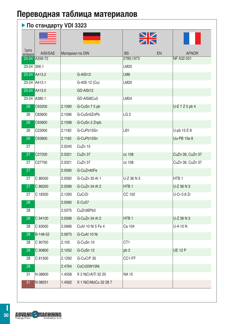#### $\blacktriangleright$   $\P$ <sub>0</sub>  $C$ <sup>TAH</sup> JAH DI 3323

|                     | , , , , , , , , , , , , | .               |                      |                  |                  |
|---------------------|-------------------------|-----------------|----------------------|------------------|------------------|
| Группа<br>материала | AISI/SAE                | Материал по DIN |                      | <b>BS</b><br>EN  | <b>AFNOR</b>     |
| $23 - 24$           | A356-72                 |                 |                      | 2789;1973        | NF A32-201       |
| 23-24               | 356.1                   |                 |                      | LM25             |                  |
|                     | 23-24 A413.2            |                 | G-AISi12             | LM6              |                  |
|                     | 23-24 A413.1            |                 | G-AISi 12 (Cu)       | LM20             |                  |
| $23 - 24$           | A413.0                  |                 | GD-AISi12            |                  |                  |
| 23-24               | A380.1                  |                 | GD-AISi8Cu3          | LM24             |                  |
| 26                  | C93200                  | 2.1090          | G-CuSn 7 5 pb        |                  | U-E 7 Z 5 pb 4   |
| 26                  | C83600                  | 2.1096          | G-CuSn5ZnPb          | LG <sub>2</sub>  |                  |
| 26                  | C83600                  | 2.1098          | G-CuSn 2 Znpb        |                  |                  |
| 26                  | C23000                  | 2.1182          | G-CuPb15Sn           | LB1              | U-pb $15E8$      |
| 26                  | C93800                  | 2.1182          | G-CuPb15Sn           |                  | Uu-PB 15e 8      |
| 27                  |                         | 2.0240          | CuZn 15              |                  |                  |
| 27                  | C27200                  | 2.0321          | CuZn 37              | cz 108           | CuZn 36, CuZn 37 |
| 27                  | C27700                  | 2.0321          | CuZn 37              | cz 108           | CuZn 36, CuZn 37 |
| 27                  |                         | 2.0590          | G-CuZn40Fe           |                  |                  |
| 27                  | C 86500                 | 2.0592          | G-CuZn 35 AI 1       | U-Z 36 N 3       | HTB <sub>1</sub> |
| 27                  | C 86200                 | 2.0596          | G-CuZn 34 AI 2       | HTB <sub>1</sub> | U-Z 36 N 3       |
| 27                  | C 18200                 | 2.1293          | CuCrZr               | CC 102           | U-Cr 0.8 Zr      |
| 28                  |                         | 2.0060          | $E-Cu57$             |                  |                  |
| 28                  |                         | 2.0375          | CuZn36Pb3            |                  |                  |
| 28                  | C 94100                 | 2.0596          | G-CuZn 34 AI 2       | HTB <sub>1</sub> | U-Z 36 N 3       |
| 28                  | C 63000                 | 2.0966          | CuAI 10 Ni 5 Fe 4    | Ca 104           | <b>U-A 10 N</b>  |
| 28                  | B-148-52                | 2.0975          | G-CuAl 10 Ni         |                  |                  |
| 28                  | C 90700                 | 2.105           | G-CuSn 10            | CT <sub>1</sub>  |                  |
| 28                  | C 90800                 | 2.1052          | G-CuSn 12            | pb <sub>2</sub>  | <b>UE 12 P</b>   |
| 28                  | C 81500                 | 2.1292          | G-CuCrF 35           | CC1-FF           |                  |
| 28                  |                         | 2.4764          | CoCr20W15Ni          |                  |                  |
| 31                  | N 08800                 | 1.4558          | X 2 NiCrAITi 32 20   | <b>NA15</b>      |                  |
| 31                  | N 08031                 | 1.4562          | X 1 NiCrMoCu 32 28 7 |                  |                  |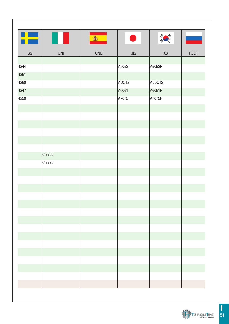| E            |            | 禽          | <b>Service Service</b> |                                    |             |
|--------------|------------|------------|------------------------|------------------------------------|-------------|
| SS           | <b>UNI</b> | <b>UNE</b> | JIS                    | $\mathsf{KS}% _{\mathsf{K}}^{(k)}$ | <b>FOCT</b> |
|              |            |            |                        |                                    |             |
| 4244<br>4261 |            |            | A5052                  | A5052P                             |             |
| 4260         |            |            | ADC12                  | ALDC12                             |             |
| 4247         |            |            | A6061                  | A6061P                             |             |
| 4250         |            |            | A7075                  | A7075P                             |             |
|              |            |            |                        |                                    |             |
|              |            |            |                        |                                    |             |
|              |            |            |                        |                                    |             |
|              |            |            |                        |                                    |             |
|              |            |            |                        |                                    |             |
|              |            |            |                        |                                    |             |
|              | C 2700     |            |                        |                                    |             |
|              | C 2720     |            |                        |                                    |             |
|              |            |            |                        |                                    |             |
|              |            |            |                        |                                    |             |
|              |            |            |                        |                                    |             |
|              |            |            |                        |                                    |             |
|              |            |            |                        |                                    |             |
|              |            |            |                        |                                    |             |
|              |            |            |                        |                                    |             |
|              |            |            |                        |                                    |             |
|              |            |            |                        |                                    |             |
|              |            |            |                        |                                    |             |
|              |            |            |                        |                                    |             |
|              |            |            |                        |                                    |             |
|              |            |            |                        |                                    |             |
|              |            |            |                        |                                    |             |

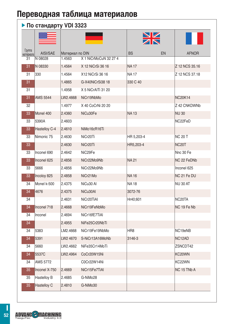#### $\blacktriangleright$  По стандарту VDI 3323

|                     |                    |                 |                       | $\frac{\sum\limits_{k}}{2}$ |    |                     |
|---------------------|--------------------|-----------------|-----------------------|-----------------------------|----|---------------------|
| Группа<br>материала | AISI/SAE           | Материал по DIN |                       | <b>BS</b>                   | EN | <b>AFNOR</b>        |
| 31                  | N 08028            | 1.4563          | X 1 NiCrMoCuN 32 27 4 |                             |    |                     |
| 31                  | N 08330            | 1.4564          | X 12 NiCrSi 36 16     | <b>NA17</b>                 |    | Z 12 NCS 35.16      |
| 31                  | 330                | 1.4564          | X12 NiCrSi 36 16      | <b>NA17</b>                 |    | Z 12 NCS 37.18      |
| 31                  |                    | 1.4865          | G-X40NiCrSi38 18      | 330 C 40                    |    |                     |
| 31                  |                    | 1.4958          | X 5 NiCrAITi 31 20    |                             |    |                     |
| 31                  | <b>AMS 5544</b>    | LW2.4668        | NiCr19NbMo            |                             |    | <b>NC20K14</b>      |
| 32                  |                    | 1.4977          | X 40 CoCrNi 20 20     |                             |    | Z 42 CNKDWNb        |
| 33                  | Monel 400          | 2.4360          | NiCu30Fe              | <b>NA13</b>                 |    | <b>NU30</b>         |
| 33                  | 5390A              | 2.4603          |                       |                             |    | NC22FeD             |
| 33                  | Hastelloy C-4      | 2.4610          | NiMo16cR16Ti          |                             |    |                     |
| 33                  | Nimonic 75         | 2.4630          | NiCr20Ti              | HR 5,203-4                  |    | <b>NC 20 T</b>      |
| 33                  |                    | 2.4630          | NiCr <sub>20</sub> Ti | HR5,203-4                   |    | NC <sub>20</sub> T  |
| 33                  | Inconel 690        | 2.4642          | NiC29Fe               |                             |    | Nnc 30 Fe           |
| $\overline{33}$     | Inconel 625        | 2.4856          | NiCr22Mo9Nb           | <b>NA21</b>                 |    | NC 22 FeDNb         |
| 33                  | 5666               | 2.4856          | NiCr22Mo9Nb           |                             |    | Inconel 625         |
| 33                  | Incoloy 825        | 2.4858          | NiCr <sub>21</sub> Mo | <b>NA16</b>                 |    | NC 21 Fe DU         |
| 34                  | Monel k-500        | 2.4375          | NiCu30 Al             | <b>NA18</b>                 |    | <b>NU 30 AT</b>     |
| 34                  | 4676               | 2.4375          | NiCu30AI              | 3072-76                     |    |                     |
| 34                  |                    | 2.4631          | NiCr20TiAI            | Hr40;601                    |    | NC <sub>20</sub> TA |
| 34                  | Inconel 718        | 2.4668          | NiCr19FeNbMo          |                             |    | NC 19 Fe Nb         |
| 34                  | Inconel            | 2.4694          | NiCr16fE7TiAl         |                             |    |                     |
| 34                  |                    | 2.4955          | NiFe25Cr20NbTi        |                             |    |                     |
| 34                  | 5383               | LM2.4668        | NiCr19Fe19NbMo        | HR <sub>8</sub>             |    | NC19eNB             |
| 34                  | 5391               | LW2 4670        | S-NiCr13A16MoNb       | 3146-3                      |    | NC <sub>12</sub> AD |
| 34                  | 5660               | LW2.4662        | NiFe35Cr14MoTi        |                             |    | ZSNCDT42            |
| 34                  | 5537C              | LW2.4964        | CoCr20W15Ni           |                             |    | KC20WN              |
| 34                  | AMS 5772           |                 | C0Cr22W14Ni           |                             |    | KC22WN              |
| 35                  | Inconel X-750      | 2.4669          | NiCr15Fe7TiAl         |                             |    | NC 15 TNb A         |
| 35                  | <b>Hastelloy B</b> | 2.4685          | G-NiMo28              |                             |    |                     |
| 35                  | Hastelloy C        | 2.4810          | G-NiMo30              |                             |    |                     |

Π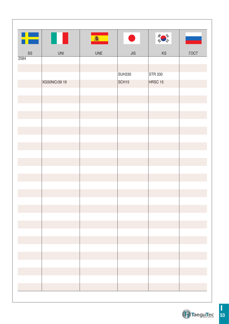| ł۳            |               | <b>8</b>   | a sa salah sahiji désa di kacamatan Sulawesi Kabupatén Bandung Kabupatén Sulawesi Kabupatén Sulawesi Kabupatén | 40 草           |              |
|---------------|---------------|------------|----------------------------------------------------------------------------------------------------------------|----------------|--------------|
| $\texttt{SS}$ | UNI           | <b>UNE</b> | JIS                                                                                                            | KS             | $\Gamma$ OCT |
| 2584          |               |            |                                                                                                                |                |              |
|               |               |            |                                                                                                                |                |              |
|               |               |            | SUH330                                                                                                         | <b>STR 330</b> |              |
|               | XG50NiCr39 19 |            | SCH <sub>15</sub>                                                                                              | HRSC 15        |              |
|               |               |            |                                                                                                                |                |              |
|               |               |            |                                                                                                                |                |              |
|               |               |            |                                                                                                                |                |              |
|               |               |            |                                                                                                                |                |              |
|               |               |            |                                                                                                                |                |              |
|               |               |            |                                                                                                                |                |              |
|               |               |            |                                                                                                                |                |              |
|               |               |            |                                                                                                                |                |              |
|               |               |            |                                                                                                                |                |              |
|               |               |            |                                                                                                                |                |              |
|               |               |            |                                                                                                                |                |              |
|               |               |            |                                                                                                                |                |              |
|               |               |            |                                                                                                                |                |              |
|               |               |            |                                                                                                                |                |              |
|               |               |            |                                                                                                                |                |              |
|               |               |            |                                                                                                                |                |              |
|               |               |            |                                                                                                                |                |              |
|               |               |            |                                                                                                                |                |              |
|               |               |            |                                                                                                                |                |              |
|               |               |            |                                                                                                                |                |              |
|               |               |            |                                                                                                                |                |              |
|               |               |            |                                                                                                                |                |              |
|               |               |            |                                                                                                                |                |              |
|               |               |            |                                                                                                                |                |              |
|               |               |            |                                                                                                                |                |              |

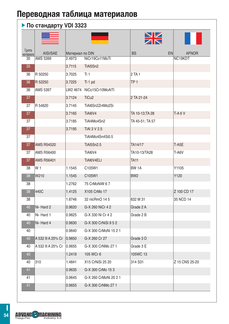### **По стандарту VDI 3323**

|                     |                    |                 |                           | $\frac{\sum\limits_{k}}{k}$ |                           |
|---------------------|--------------------|-----------------|---------------------------|-----------------------------|---------------------------|
| Группа<br>материала | AISI/SAE           | Материал по DIN |                           | <b>BS</b>                   | <b>EN</b><br><b>AFNOR</b> |
| 35                  | <b>AMS 5399</b>    | 2.4973          | NiCr19Co11MoTi            |                             | NC19KDT                   |
| 35                  |                    | 3.7115          | TiAl5Sn2                  |                             |                           |
| 36                  | R 50250            | 3.7025          | Ti 1                      | 2 TA 1                      |                           |
| 36                  | R 52250            | 3.7225          | Ti 1 pd                   | TP <sub>1</sub>             |                           |
| 36                  | AMS 5397           |                 | LW2 4674 NiCo15Cr10MoAITi |                             |                           |
| 37                  |                    | 3.7124          | TiCu <sub>2</sub>         | 2 TA 21-24                  |                           |
| 37                  | R 54620            | 3.7145          | TiAl6Sn2Zr4Mo2Si          |                             |                           |
| 37                  |                    | 3.7165          | TiAI6V4                   | TA 10-13;TA 28              | TA6V                      |
| 37                  |                    | 3.7185          | TiAl4Mo4Sn2               | TA 45-51; TA 57             |                           |
| 37                  |                    | 3.7195          | TiAI 3 V 2.5              |                             |                           |
| 37                  |                    |                 | TiAl4Mo4Sn4Si0.5          |                             |                           |
| 37                  | <b>AMS R54520</b>  |                 | <b>TiAI5Sn2.5</b>         | TA14/17                     | $T-A5E$                   |
| 37                  | <b>AMS R56400</b>  |                 | TiAI6V4                   | TA10-13/TA28                | T-A6V                     |
| 37                  | <b>AMS R56401</b>  |                 | TiAI6V4ELI                | <b>TA11</b>                 |                           |
| 38                  | W 1                | 1.1545          | C105W1                    | BW 1A                       | Y1105                     |
| 38                  | W210               | 1.1545          | C105W1                    | BW <sub>2</sub>             | Y120                      |
| 38                  |                    | 1.2762          | 75 CrMoNiW 67             |                             |                           |
| 38                  | 440C               | 1.4125          | X105 CrMo 17              |                             | Z 100 CD 17               |
| 38                  |                    | 1.6746          | 32 nlcRmO 14 5            | 832 M 31                    | 35 NCD 14                 |
| 40                  | Ni-Hard 2          | 0.9620          | G-X 260 NiCr 4 2          | Grade 2 A                   |                           |
| 40                  | Ni-Hard 1          | 0.9625          | G-X 330 Ni Cr 4 2         | Grade 2 B                   |                           |
| 40                  | Ni-Hard 4          | 0.9630          | G-X 300 CrNiSi 9 5 2      |                             |                           |
| 40                  |                    | 0.9640          | G-X 300 CrMoNi 15 2 1     |                             |                           |
| 40                  | A 532 III A 25% Cr | 0.9650          | G-X 260 Cr 27             | Grade 3 D                   |                           |
| 40                  | A 532 III A 25% Cr | 0.9655          | G-X 300 CrNMo 27 1        | Grade 3 E                   |                           |
| 40                  |                    | 1.2419          | 105 WCr 6                 | 105WC 13                    |                           |
| 40                  | 310                | 1.4841          | X15 CrNiSi 25 20          | 314 S31                     | Z 15 CNS 25-20            |
| 41                  |                    | 0.9635          | G-X 300 CrMo 153          |                             |                           |
| 41                  |                    | 0.9645          | G-X 260 CrMoNi 20 2 1     |                             |                           |
| 41                  |                    | 0.9655          | G-X 300 CrNMo 27 1        |                             |                           |

**ADVANC - MACHINING**